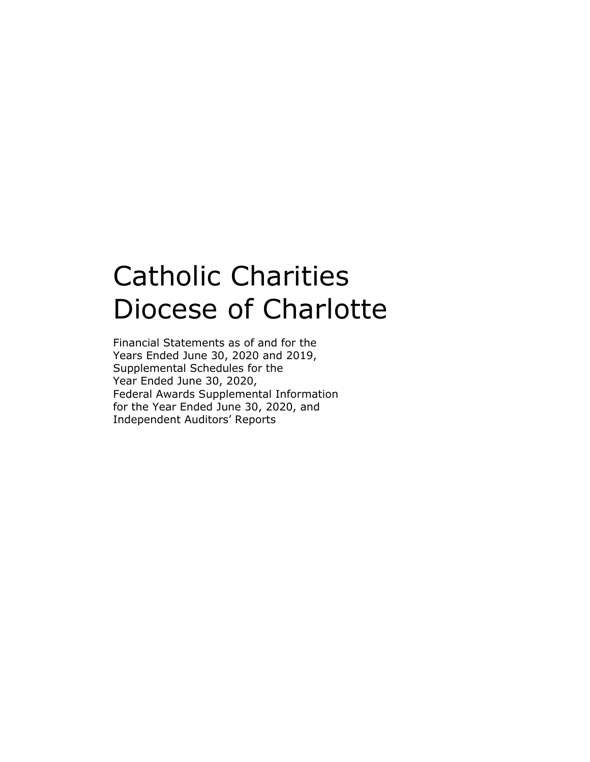## Catholic Charities Diocese of Charlotte

Financial Statements as of and for the Years Ended June 30, 2020 and 2019, Supplemental Schedules for the Year Ended June 30, 2020, Federal Awards Supplemental Information for the Year Ended June 30, 2020, and Independent Auditors' Reports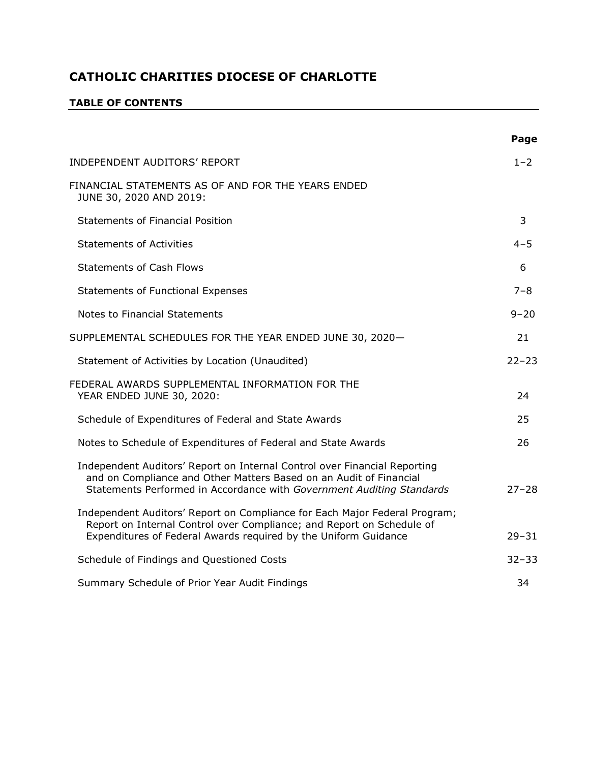## **TABLE OF CONTENTS**

|                                                                                                                                                                                                                          | Page      |
|--------------------------------------------------------------------------------------------------------------------------------------------------------------------------------------------------------------------------|-----------|
| INDEPENDENT AUDITORS' REPORT                                                                                                                                                                                             | $1 - 2$   |
| FINANCIAL STATEMENTS AS OF AND FOR THE YEARS ENDED<br>JUNE 30, 2020 AND 2019:                                                                                                                                            |           |
| <b>Statements of Financial Position</b>                                                                                                                                                                                  | 3         |
| <b>Statements of Activities</b>                                                                                                                                                                                          | $4 - 5$   |
| <b>Statements of Cash Flows</b>                                                                                                                                                                                          | 6         |
| <b>Statements of Functional Expenses</b>                                                                                                                                                                                 | $7 - 8$   |
| <b>Notes to Financial Statements</b>                                                                                                                                                                                     | $9 - 20$  |
| SUPPLEMENTAL SCHEDULES FOR THE YEAR ENDED JUNE 30, 2020-                                                                                                                                                                 | 21        |
| Statement of Activities by Location (Unaudited)                                                                                                                                                                          | $22 - 23$ |
| FEDERAL AWARDS SUPPLEMENTAL INFORMATION FOR THE<br>YEAR ENDED JUNE 30, 2020:                                                                                                                                             | 24        |
| Schedule of Expenditures of Federal and State Awards                                                                                                                                                                     | 25        |
| Notes to Schedule of Expenditures of Federal and State Awards                                                                                                                                                            | 26        |
| Independent Auditors' Report on Internal Control over Financial Reporting<br>and on Compliance and Other Matters Based on an Audit of Financial<br>Statements Performed in Accordance with Government Auditing Standards | $27 - 28$ |
| Independent Auditors' Report on Compliance for Each Major Federal Program;<br>Report on Internal Control over Compliance; and Report on Schedule of<br>Expenditures of Federal Awards required by the Uniform Guidance   | $29 - 31$ |
| Schedule of Findings and Questioned Costs                                                                                                                                                                                | $32 - 33$ |
| Summary Schedule of Prior Year Audit Findings                                                                                                                                                                            | 34        |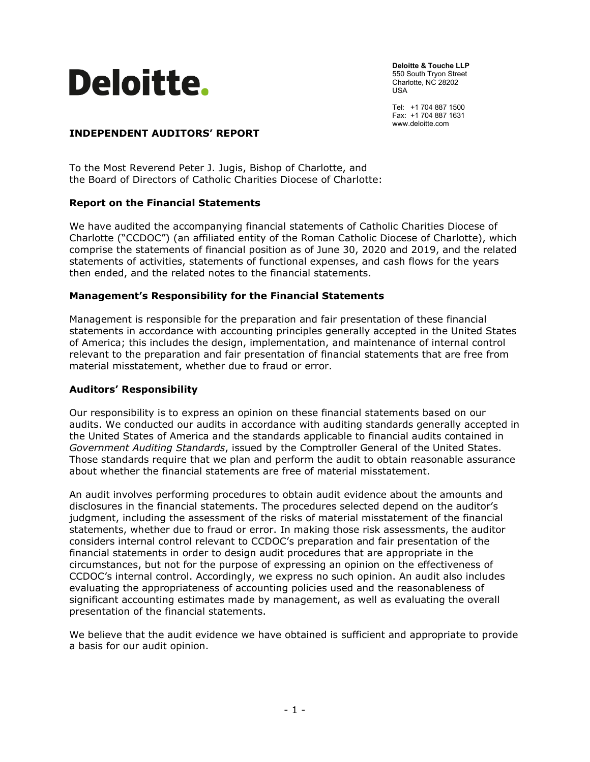## **Deloitte.**

**Deloitte & Touche LLP** 550 South Tryon Street Charlotte, NC 28202 USA

Tel: +1 704 887 1500 Fax: +1 704 887 1631 www.deloitte.com

#### **INDEPENDENT AUDITORS' REPORT**

To the Most Reverend Peter J. Jugis, Bishop of Charlotte, and the Board of Directors of Catholic Charities Diocese of Charlotte:

#### **Report on the Financial Statements**

We have audited the accompanying financial statements of Catholic Charities Diocese of Charlotte ("CCDOC") (an affiliated entity of the Roman Catholic Diocese of Charlotte), which comprise the statements of financial position as of June 30, 2020 and 2019, and the related statements of activities, statements of functional expenses, and cash flows for the years then ended, and the related notes to the financial statements.

#### **Management's Responsibility for the Financial Statements**

Management is responsible for the preparation and fair presentation of these financial statements in accordance with accounting principles generally accepted in the United States of America; this includes the design, implementation, and maintenance of internal control relevant to the preparation and fair presentation of financial statements that are free from material misstatement, whether due to fraud or error.

#### **Auditors' Responsibility**

Our responsibility is to express an opinion on these financial statements based on our audits. We conducted our audits in accordance with auditing standards generally accepted in the United States of America and the standards applicable to financial audits contained in *Government Auditing Standards*, issued by the Comptroller General of the United States. Those standards require that we plan and perform the audit to obtain reasonable assurance about whether the financial statements are free of material misstatement.

An audit involves performing procedures to obtain audit evidence about the amounts and disclosures in the financial statements. The procedures selected depend on the auditor's judgment, including the assessment of the risks of material misstatement of the financial statements, whether due to fraud or error. In making those risk assessments, the auditor considers internal control relevant to CCDOC's preparation and fair presentation of the financial statements in order to design audit procedures that are appropriate in the circumstances, but not for the purpose of expressing an opinion on the effectiveness of CCDOC's internal control. Accordingly, we express no such opinion. An audit also includes evaluating the appropriateness of accounting policies used and the reasonableness of significant accounting estimates made by management, as well as evaluating the overall presentation of the financial statements.

We believe that the audit evidence we have obtained is sufficient and appropriate to provide a basis for our audit opinion.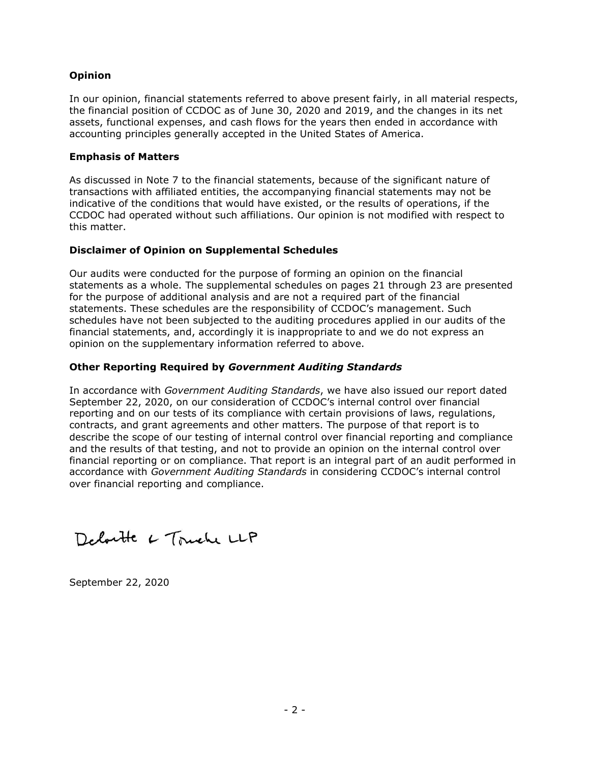#### **Opinion**

In our opinion, financial statements referred to above present fairly, in all material respects, the financial position of CCDOC as of June 30, 2020 and 2019, and the changes in its net assets, functional expenses, and cash flows for the years then ended in accordance with accounting principles generally accepted in the United States of America.

#### **Emphasis of Matters**

As discussed in Note 7 to the financial statements, because of the significant nature of transactions with affiliated entities, the accompanying financial statements may not be indicative of the conditions that would have existed, or the results of operations, if the CCDOC had operated without such affiliations. Our opinion is not modified with respect to this matter.

#### **Disclaimer of Opinion on Supplemental Schedules**

Our audits were conducted for the purpose of forming an opinion on the financial statements as a whole. The supplemental schedules on pages 21 through 23 are presented for the purpose of additional analysis and are not a required part of the financial statements. These schedules are the responsibility of CCDOC's management. Such schedules have not been subjected to the auditing procedures applied in our audits of the financial statements, and, accordingly it is inappropriate to and we do not express an opinion on the supplementary information referred to above.

#### **Other Reporting Required by** *Government Auditing Standards*

In accordance with *Government Auditing Standards*, we have also issued our report dated September 22, 2020, on our consideration of CCDOC's internal control over financial reporting and on our tests of its compliance with certain provisions of laws, regulations, contracts, and grant agreements and other matters. The purpose of that report is to describe the scope of our testing of internal control over financial reporting and compliance and the results of that testing, and not to provide an opinion on the internal control over financial reporting or on compliance. That report is an integral part of an audit performed in accordance with *Government Auditing Standards* in considering CCDOC's internal control over financial reporting and compliance.

Deloitte & Touche LLP

September 22, 2020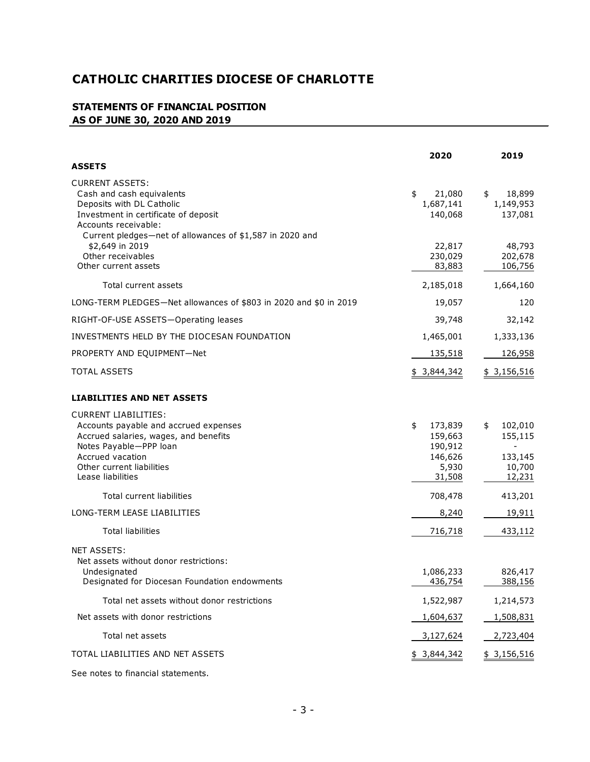#### **STATEMENTS OF FINANCIAL POSITION AS OF JUNE 30, 2020 AND 2019**

| <b>ASSETS</b>                                                                                                                                                                                                 | 2020                                                              | 2019                                                                                |
|---------------------------------------------------------------------------------------------------------------------------------------------------------------------------------------------------------------|-------------------------------------------------------------------|-------------------------------------------------------------------------------------|
|                                                                                                                                                                                                               |                                                                   |                                                                                     |
| <b>CURRENT ASSETS:</b><br>Cash and cash equivalents<br>Deposits with DL Catholic<br>Investment in certificate of deposit<br>Accounts receivable:<br>Current pledges-net of allowances of \$1,587 in 2020 and  | 21,080<br>\$<br>1,687,141<br>140,068                              | 18,899<br>\$<br>1,149,953<br>137,081                                                |
| \$2,649 in 2019<br>Other receivables<br>Other current assets                                                                                                                                                  | 22,817<br>230,029<br>83,883                                       | 48,793<br>202,678<br>106,756                                                        |
| Total current assets                                                                                                                                                                                          | 2,185,018                                                         | 1,664,160                                                                           |
| LONG-TERM PLEDGES-Net allowances of \$803 in 2020 and \$0 in 2019                                                                                                                                             | 19,057                                                            | 120                                                                                 |
| RIGHT-OF-USE ASSETS-Operating leases                                                                                                                                                                          | 39,748                                                            | 32,142                                                                              |
| INVESTMENTS HELD BY THE DIOCESAN FOUNDATION                                                                                                                                                                   | 1,465,001                                                         | 1,333,136                                                                           |
| PROPERTY AND EQUIPMENT-Net                                                                                                                                                                                    | <u>135,518</u>                                                    | 126,958                                                                             |
| <b>TOTAL ASSETS</b>                                                                                                                                                                                           | \$3,844,342                                                       | \$3,156,516                                                                         |
| <b>LIABILITIES AND NET ASSETS</b>                                                                                                                                                                             |                                                                   |                                                                                     |
| <b>CURRENT LIABILITIES:</b><br>Accounts payable and accrued expenses<br>Accrued salaries, wages, and benefits<br>Notes Payable-PPP loan<br>Accrued vacation<br>Other current liabilities<br>Lease liabilities | 173,839<br>\$<br>159,663<br>190,912<br>146,626<br>5,930<br>31,508 | 102,010<br>\$<br>155,115<br>$\overline{\phantom{a}}$<br>133,145<br>10,700<br>12,231 |
| Total current liabilities                                                                                                                                                                                     | 708,478                                                           | 413,201                                                                             |
| LONG-TERM LEASE LIABILITIES                                                                                                                                                                                   | 8,240                                                             | <u>19,911</u>                                                                       |
| <b>Total liabilities</b>                                                                                                                                                                                      | 716,718                                                           | 433,112                                                                             |
| <b>NET ASSETS:</b><br>Net assets without donor restrictions:                                                                                                                                                  |                                                                   |                                                                                     |
| Undesignated<br>Designated for Diocesan Foundation endowments                                                                                                                                                 | 1,086,233<br>436,754                                              | 826,417<br>388,156                                                                  |
| Total net assets without donor restrictions                                                                                                                                                                   | 1,522,987                                                         | 1,214,573                                                                           |
| Net assets with donor restrictions                                                                                                                                                                            | 1,604,637                                                         | 1,508,831                                                                           |
| Total net assets                                                                                                                                                                                              | 3,127,624                                                         | 2,723,404                                                                           |
| TOTAL LIABILITIES AND NET ASSETS                                                                                                                                                                              | \$3,844,342                                                       | \$3,156,516                                                                         |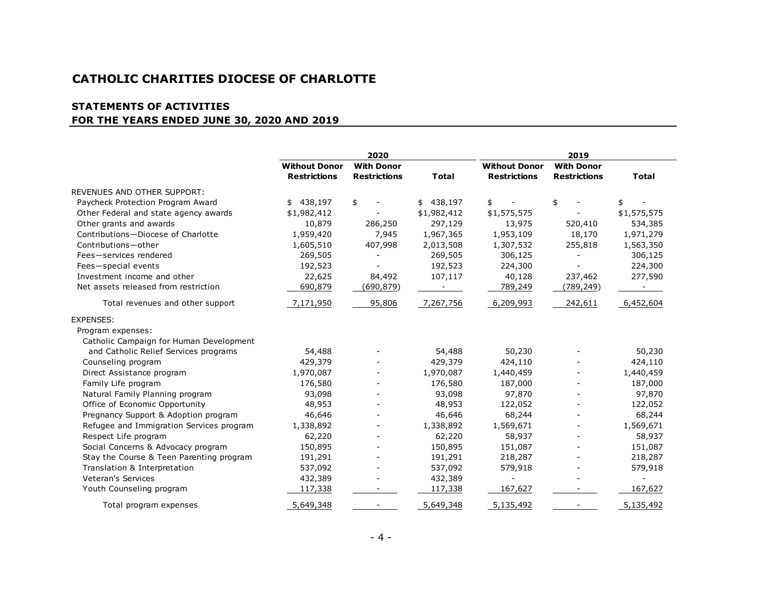#### **STATEMENTS OF ACTIVITIES FOR THE YEARS ENDED JUNE 30, 2020 AND 2019**

|                                          | 2020                                        |                                          |              | 2019                                        |                                          |              |
|------------------------------------------|---------------------------------------------|------------------------------------------|--------------|---------------------------------------------|------------------------------------------|--------------|
|                                          | <b>Without Donor</b><br><b>Restrictions</b> | <b>With Donor</b><br><b>Restrictions</b> | <b>Total</b> | <b>Without Donor</b><br><b>Restrictions</b> | <b>With Donor</b><br><b>Restrictions</b> | <b>Total</b> |
| REVENUES AND OTHER SUPPORT:              |                                             |                                          |              |                                             |                                          |              |
| Paycheck Protection Program Award        | \$438,197                                   | \$                                       | \$438,197    | \$<br>$\overline{\phantom{a}}$              | \$                                       | \$           |
| Other Federal and state agency awards    | \$1,982,412                                 |                                          | \$1,982,412  | \$1,575,575                                 |                                          | \$1,575,575  |
| Other grants and awards                  | 10,879                                      | 286,250                                  | 297,129      | 13,975                                      | 520,410                                  | 534,385      |
| Contributions-Diocese of Charlotte       | 1,959,420                                   | 7,945                                    | 1,967,365    | 1,953,109                                   | 18,170                                   | 1,971,279    |
| Contributions-other                      | 1,605,510                                   | 407,998                                  | 2,013,508    | 1,307,532                                   | 255,818                                  | 1,563,350    |
| Fees-services rendered                   | 269,505                                     | $\overline{\phantom{a}}$                 | 269,505      | 306,125                                     |                                          | 306,125      |
| Fees-special events                      | 192,523                                     |                                          | 192,523      | 224,300                                     |                                          | 224,300      |
| Investment income and other              | 22,625                                      | 84,492                                   | 107,117      | 40,128                                      | 237,462                                  | 277,590      |
| Net assets released from restriction     | 690,879                                     | (690, 879)                               |              | 789,249                                     | (789, 249)                               |              |
| Total revenues and other support         | 7,171,950                                   | 95,806                                   | 7,267,756    | 6,209,993                                   | 242,611                                  | 6,452,604    |
| <b>EXPENSES:</b>                         |                                             |                                          |              |                                             |                                          |              |
| Program expenses:                        |                                             |                                          |              |                                             |                                          |              |
| Catholic Campaign for Human Development  |                                             |                                          |              |                                             |                                          |              |
| and Catholic Relief Services programs    | 54,488                                      |                                          | 54,488       | 50,230                                      |                                          | 50,230       |
| Counseling program                       | 429,379                                     |                                          | 429,379      | 424,110                                     |                                          | 424,110      |
| Direct Assistance program                | 1,970,087                                   |                                          | 1,970,087    | 1,440,459                                   |                                          | 1,440,459    |
| Family Life program                      | 176,580                                     |                                          | 176,580      | 187,000                                     |                                          | 187,000      |
| Natural Family Planning program          | 93,098                                      |                                          | 93,098       | 97,870                                      |                                          | 97,870       |
| Office of Economic Opportunity           | 48,953                                      |                                          | 48,953       | 122,052                                     |                                          | 122,052      |
| Pregnancy Support & Adoption program     | 46,646                                      |                                          | 46,646       | 68,244                                      |                                          | 68,244       |
| Refugee and Immigration Services program | 1,338,892                                   |                                          | 1,338,892    | 1,569,671                                   |                                          | 1,569,671    |
| Respect Life program                     | 62,220                                      |                                          | 62,220       | 58,937                                      |                                          | 58,937       |
| Social Concerns & Advocacy program       | 150,895                                     |                                          | 150,895      | 151,087                                     |                                          | 151,087      |
| Stay the Course & Teen Parenting program | 191,291                                     |                                          | 191,291      | 218,287                                     |                                          | 218,287      |
| Translation & Interpretation             | 537,092                                     |                                          | 537,092      | 579,918                                     |                                          | 579,918      |
| Veteran's Services                       | 432,389                                     |                                          | 432,389      |                                             |                                          |              |
| Youth Counseling program                 | 117,338                                     |                                          | 117,338      | 167,627                                     |                                          | 167,627      |
| Total program expenses                   | 5,649,348                                   |                                          | 5,649,348    | 5,135,492                                   |                                          | 5,135,492    |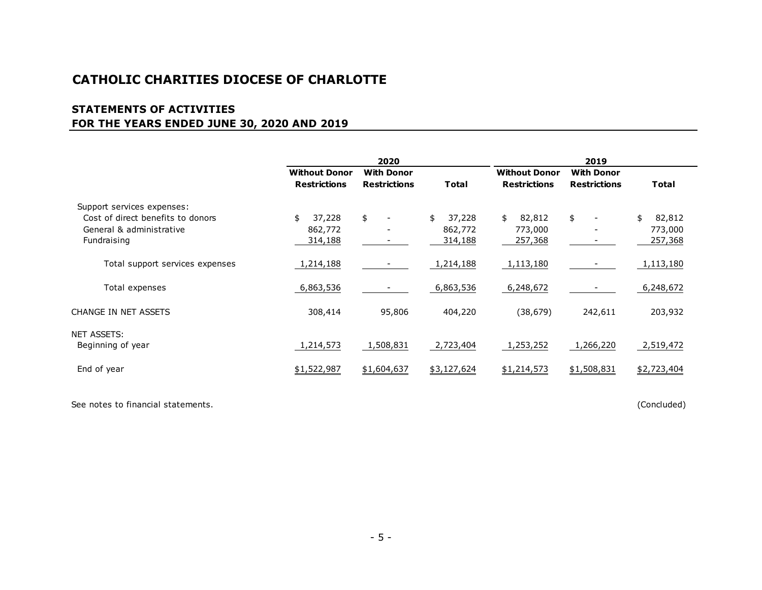#### **STATEMENTS OF ACTIVITIES FOR THE YEARS ENDED JUNE 30, 2020 AND 2019**

|                                                                                                            | 2020                                        |                                          |                                    | 2019                                        |                                          |                                    |
|------------------------------------------------------------------------------------------------------------|---------------------------------------------|------------------------------------------|------------------------------------|---------------------------------------------|------------------------------------------|------------------------------------|
|                                                                                                            | <b>Without Donor</b><br><b>Restrictions</b> | <b>With Donor</b><br><b>Restrictions</b> | <b>Total</b>                       | <b>Without Donor</b><br><b>Restrictions</b> | <b>With Donor</b><br><b>Restrictions</b> | <b>Total</b>                       |
| Support services expenses:<br>Cost of direct benefits to donors<br>General & administrative<br>Fundraising | \$<br>37,228<br>862,772<br>314,188          | \$<br>$\overline{\phantom{a}}$           | 37,228<br>\$<br>862,772<br>314,188 | \$<br>82,812<br>773,000<br>257,368          | \$<br>$\overline{\phantom{a}}$           | 82,812<br>\$<br>773,000<br>257,368 |
| Total support services expenses                                                                            | 1,214,188                                   |                                          | 1,214,188                          | 1,113,180                                   |                                          | 1,113,180                          |
| Total expenses                                                                                             | 6,863,536                                   |                                          | 6,863,536                          | 6,248,672                                   |                                          | 6,248,672                          |
| CHANGE IN NET ASSETS                                                                                       | 308,414                                     | 95,806                                   | 404,220                            | (38, 679)                                   | 242,611                                  | 203,932                            |
| NET ASSETS:<br>Beginning of year                                                                           | 1,214,573                                   | 1,508,831                                | 2,723,404                          | 1,253,252                                   | 1,266,220                                | 2,519,472                          |
| End of year                                                                                                | \$1,522,987                                 | \$1,604,637                              | \$3,127,624                        | \$1,214,573                                 | \$1,508,831                              | \$2,723,404                        |

See notes to financial statements. (Concluded)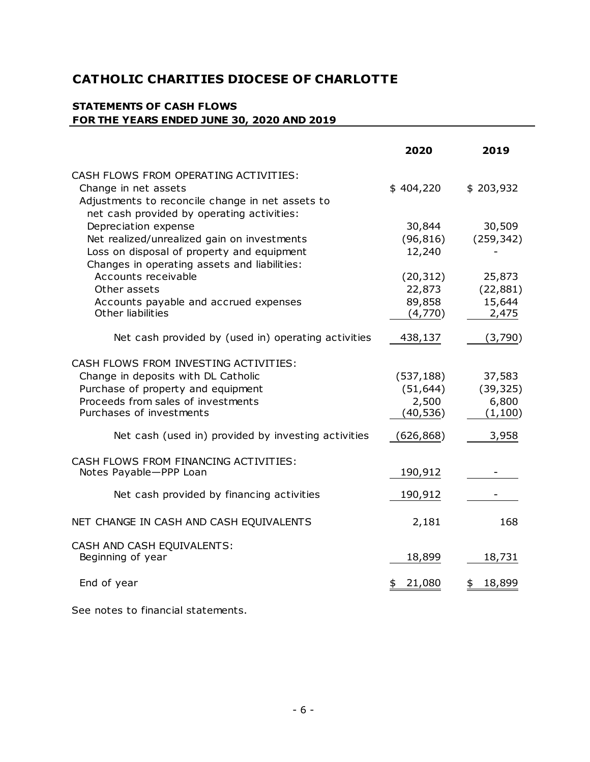#### **STATEMENTS OF CASH FLOWS FOR THE YEARS ENDED JUNE 30, 2020 AND 2019**

|                                                                                                | 2020           | 2019       |
|------------------------------------------------------------------------------------------------|----------------|------------|
| CASH FLOWS FROM OPERATING ACTIVITIES:<br>Change in net assets                                  | \$404,220      | \$203,932  |
| Adjustments to reconcile change in net assets to<br>net cash provided by operating activities: |                |            |
| Depreciation expense                                                                           | 30,844         | 30,509     |
| Net realized/unrealized gain on investments                                                    | (96, 816)      | (259, 342) |
| Loss on disposal of property and equipment<br>Changes in operating assets and liabilities:     | 12,240         |            |
| Accounts receivable                                                                            | (20, 312)      | 25,873     |
| Other assets                                                                                   | 22,873         | (22, 881)  |
| Accounts payable and accrued expenses                                                          | 89,858         | 15,644     |
| Other liabilities                                                                              | (4,770)        | 2,475      |
| Net cash provided by (used in) operating activities                                            | 438,137        | (3,790)    |
| CASH FLOWS FROM INVESTING ACTIVITIES:                                                          |                |            |
| Change in deposits with DL Catholic                                                            | (537, 188)     | 37,583     |
| Purchase of property and equipment                                                             | (51, 644)      | (39, 325)  |
| Proceeds from sales of investments                                                             | 2,500          | 6,800      |
| Purchases of investments                                                                       | (40, 536)      | (1, 100)   |
| Net cash (used in) provided by investing activities                                            | (626, 868)     | 3,958      |
| CASH FLOWS FROM FINANCING ACTIVITIES:                                                          |                |            |
| Notes Payable-PPP Loan                                                                         | <u>190,912</u> |            |
| Net cash provided by financing activities                                                      | 190,912        |            |
| NET CHANGE IN CASH AND CASH EQUIVALENTS                                                        | 2,181          | 168        |
| CASH AND CASH EQUIVALENTS:                                                                     |                |            |
| Beginning of year                                                                              | 18,899         | 18,731     |
| End of year                                                                                    | 21,080         | 18,899     |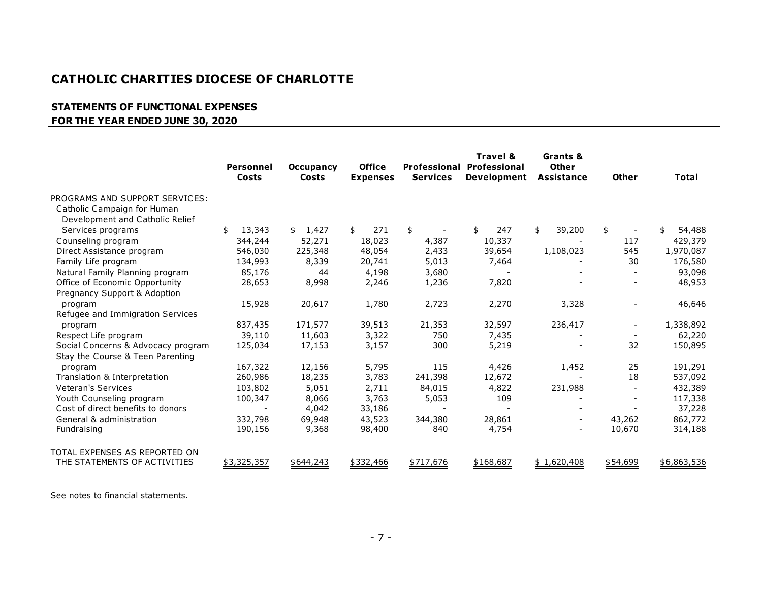#### **STATEMENTS OF FUNCTIONAL EXPENSES FOR THE YEAR ENDED JUNE 30, 2020**

|                                    | Personnel<br><b>Costs</b> | Occupancy<br><b>Costs</b> | <b>Office</b><br><b>Expenses</b> | Professional<br><b>Services</b> | <b>Travel &amp;</b><br>Professional<br><b>Development</b> | Grants &<br><b>Other</b><br>Assistance | <b>Other</b>             | Total        |
|------------------------------------|---------------------------|---------------------------|----------------------------------|---------------------------------|-----------------------------------------------------------|----------------------------------------|--------------------------|--------------|
| PROGRAMS AND SUPPORT SERVICES:     |                           |                           |                                  |                                 |                                                           |                                        |                          |              |
| Catholic Campaign for Human        |                           |                           |                                  |                                 |                                                           |                                        |                          |              |
| Development and Catholic Relief    |                           |                           |                                  |                                 |                                                           |                                        |                          |              |
| Services programs                  | 13,343<br>\$              | \$<br>1,427               | 271<br>\$                        | \$                              | 247<br>\$                                                 | \$<br>39,200                           | \$                       | \$<br>54,488 |
| Counseling program                 | 344,244                   | 52,271                    | 18,023                           | 4,387                           | 10,337                                                    |                                        | 117                      | 429,379      |
| Direct Assistance program          | 546,030                   | 225,348                   | 48,054                           | 2,433                           | 39,654                                                    | 1,108,023                              | 545                      | 1,970,087    |
| Family Life program                | 134,993                   | 8,339                     | 20,741                           | 5,013                           | 7,464                                                     |                                        | 30                       | 176,580      |
| Natural Family Planning program    | 85,176                    | 44                        | 4,198                            | 3,680                           |                                                           |                                        |                          | 93,098       |
| Office of Economic Opportunity     | 28,653                    | 8,998                     | 2,246                            | 1,236                           | 7,820                                                     |                                        | $\overline{\phantom{a}}$ | 48,953       |
| Pregnancy Support & Adoption       |                           |                           |                                  |                                 |                                                           |                                        |                          |              |
| program                            | 15,928                    | 20,617                    | 1,780                            | 2,723                           | 2,270                                                     | 3,328                                  |                          | 46,646       |
| Refugee and Immigration Services   |                           |                           |                                  |                                 |                                                           |                                        |                          |              |
| program                            | 837,435                   | 171,577                   | 39,513                           | 21,353                          | 32,597                                                    | 236,417                                | $\overline{\phantom{a}}$ | 1,338,892    |
| Respect Life program               | 39,110                    | 11,603                    | 3,322                            | 750                             | 7,435                                                     |                                        |                          | 62,220       |
| Social Concerns & Advocacy program | 125,034                   | 17,153                    | 3,157                            | 300                             | 5,219                                                     |                                        | 32                       | 150,895      |
| Stay the Course & Teen Parenting   |                           |                           |                                  |                                 |                                                           |                                        |                          |              |
| program                            | 167,322                   | 12,156                    | 5,795                            | 115                             | 4,426                                                     | 1,452                                  | 25                       | 191,291      |
| Translation & Interpretation       | 260,986                   | 18,235                    | 3,783                            | 241,398                         | 12,672                                                    |                                        | 18                       | 537,092      |
| <b>Veteran's Services</b>          | 103,802                   | 5,051                     | 2,711                            | 84,015                          | 4,822                                                     | 231,988                                | $\overline{\phantom{a}}$ | 432,389      |
| Youth Counseling program           | 100,347                   | 8,066                     | 3,763                            | 5,053                           | 109                                                       |                                        | $\overline{\phantom{a}}$ | 117,338      |
| Cost of direct benefits to donors  |                           | 4,042                     | 33,186                           |                                 |                                                           |                                        |                          | 37,228       |
| General & administration           | 332,798                   | 69,948                    | 43,523                           | 344,380                         | 28,861                                                    | $\overline{\phantom{a}}$               | 43,262                   | 862,772      |
| Fundraising                        | 190,156                   | 9,368                     | 98,400                           | 840                             | 4,754                                                     |                                        | 10,670                   | 314,188      |
|                                    |                           |                           |                                  |                                 |                                                           |                                        |                          |              |
| TOTAL EXPENSES AS REPORTED ON      |                           |                           |                                  |                                 |                                                           |                                        |                          |              |
| THE STATEMENTS OF ACTIVITIES       | \$3,325,357               | \$644,243                 | \$332,466                        | \$717,676                       | \$168,687                                                 | \$1,620,408                            | \$54,699                 | \$6,863,536  |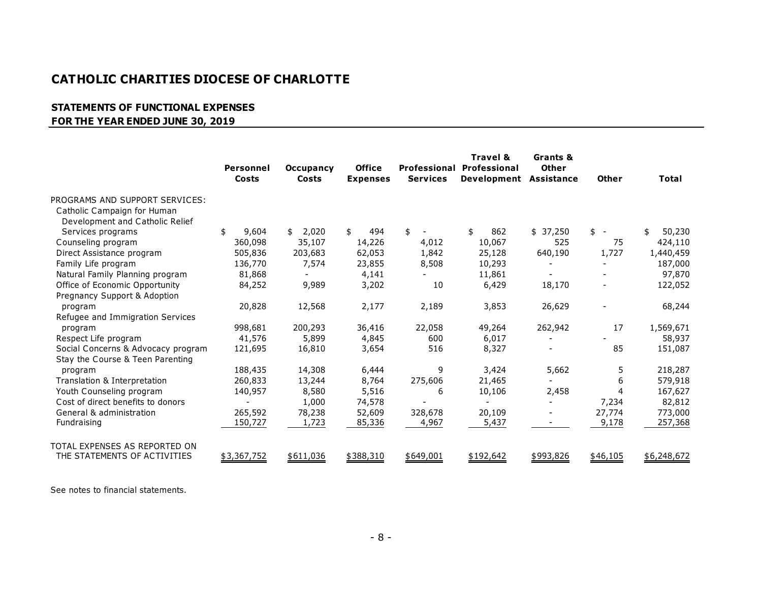#### **STATEMENTS OF FUNCTIONAL EXPENSES FOR THE YEAR ENDED JUNE 30, 2019**

|                                    | Personnel<br>Costs | <b>Occupancy</b><br>Costs | <b>Office</b><br><b>Expenses</b> | <b>Professional</b><br><b>Services</b> | Travel &<br>Professional<br>Development | Grants &<br><b>Other</b><br>Assistance | <b>Other</b> | <b>Total</b> |
|------------------------------------|--------------------|---------------------------|----------------------------------|----------------------------------------|-----------------------------------------|----------------------------------------|--------------|--------------|
| PROGRAMS AND SUPPORT SERVICES:     |                    |                           |                                  |                                        |                                         |                                        |              |              |
| Catholic Campaign for Human        |                    |                           |                                  |                                        |                                         |                                        |              |              |
| Development and Catholic Relief    |                    |                           |                                  |                                        |                                         |                                        |              |              |
| Services programs                  | 9,604<br>\$        | 2,020<br>\$               | 494<br>\$                        | \$                                     | \$<br>862                               | \$37,250                               | \$           | \$<br>50,230 |
| Counseling program                 | 360,098            | 35,107                    | 14,226                           | 4,012                                  | 10,067                                  | 525                                    | 75           | 424,110      |
| Direct Assistance program          | 505,836            | 203,683                   | 62,053                           | 1,842                                  | 25,128                                  | 640,190                                | 1,727        | 1,440,459    |
| Family Life program                | 136,770            | 7,574                     | 23,855                           | 8,508                                  | 10,293                                  |                                        |              | 187,000      |
| Natural Family Planning program    | 81,868             |                           | 4,141                            |                                        | 11,861                                  |                                        |              | 97,870       |
| Office of Economic Opportunity     | 84,252             | 9,989                     | 3,202                            | 10                                     | 6,429                                   | 18,170                                 |              | 122,052      |
| Pregnancy Support & Adoption       |                    |                           |                                  |                                        |                                         |                                        |              |              |
| program                            | 20,828             | 12,568                    | 2,177                            | 2,189                                  | 3,853                                   | 26,629                                 |              | 68,244       |
| Refugee and Immigration Services   |                    |                           |                                  |                                        |                                         |                                        |              |              |
| program                            | 998,681            | 200,293                   | 36,416                           | 22,058                                 | 49,264                                  | 262,942                                | 17           | 1,569,671    |
| Respect Life program               | 41,576             | 5,899                     | 4,845                            | 600                                    | 6,017                                   |                                        |              | 58,937       |
| Social Concerns & Advocacy program | 121,695            | 16,810                    | 3,654                            | 516                                    | 8,327                                   |                                        | 85           | 151,087      |
| Stay the Course & Teen Parenting   |                    |                           |                                  |                                        |                                         |                                        |              |              |
| program                            | 188,435            | 14,308                    | 6,444                            | 9                                      | 3,424                                   | 5,662                                  | 5            | 218,287      |
| Translation & Interpretation       | 260,833            | 13,244                    | 8,764                            | 275,606                                | 21,465                                  |                                        | 6            | 579,918      |
| Youth Counseling program           | 140,957            | 8,580                     | 5,516                            | 6                                      | 10,106                                  | 2,458                                  | 4            | 167,627      |
| Cost of direct benefits to donors  |                    | 1,000                     | 74,578                           |                                        |                                         |                                        | 7,234        | 82,812       |
| General & administration           | 265,592            | 78,238                    | 52,609                           | 328,678                                | 20,109                                  |                                        | 27,774       | 773,000      |
| Fundraising                        | 150,727            | 1,723                     | 85,336                           | 4,967                                  | 5,437                                   |                                        | 9,178        | 257,368      |
|                                    |                    |                           |                                  |                                        |                                         |                                        |              |              |
| TOTAL EXPENSES AS REPORTED ON      |                    |                           |                                  |                                        |                                         |                                        |              |              |
| THE STATEMENTS OF ACTIVITIES       | \$3,367,752        | \$611,036                 | \$388,310                        | \$649,001                              | \$192,642                               | \$993,826                              | \$46,105     | \$6,248,672  |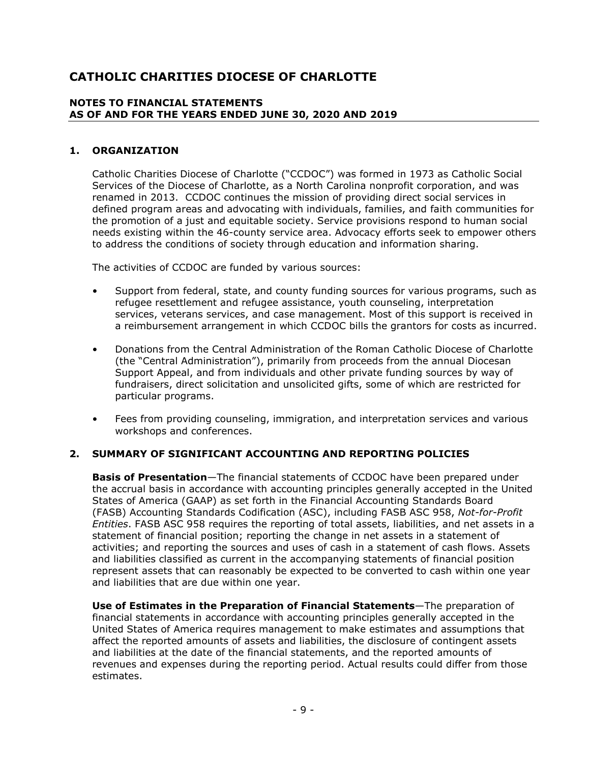#### **NOTES TO FINANCIAL STATEMENTS AS OF AND FOR THE YEARS ENDED JUNE 30, 2020 AND 2019**

#### **1. ORGANIZATION**

Catholic Charities Diocese of Charlotte ("CCDOC") was formed in 1973 as Catholic Social Services of the Diocese of Charlotte, as a North Carolina nonprofit corporation, and was renamed in 2013. CCDOC continues the mission of providing direct social services in defined program areas and advocating with individuals, families, and faith communities for the promotion of a just and equitable society. Service provisions respond to human social needs existing within the 46-county service area. Advocacy efforts seek to empower others to address the conditions of society through education and information sharing.

The activities of CCDOC are funded by various sources:

- Support from federal, state, and county funding sources for various programs, such as refugee resettlement and refugee assistance, youth counseling, interpretation services, veterans services, and case management. Most of this support is received in a reimbursement arrangement in which CCDOC bills the grantors for costs as incurred.
- Donations from the Central Administration of the Roman Catholic Diocese of Charlotte (the "Central Administration"), primarily from proceeds from the annual Diocesan Support Appeal, and from individuals and other private funding sources by way of fundraisers, direct solicitation and unsolicited gifts, some of which are restricted for particular programs.
- Fees from providing counseling, immigration, and interpretation services and various workshops and conferences.

#### **2. SUMMARY OF SIGNIFICANT ACCOUNTING AND REPORTING POLICIES**

**Basis of Presentation**—The financial statements of CCDOC have been prepared under the accrual basis in accordance with accounting principles generally accepted in the United States of America (GAAP) as set forth in the Financial Accounting Standards Board (FASB) Accounting Standards Codification (ASC), including FASB ASC 958, *Not-for-Profit Entities*. FASB ASC 958 requires the reporting of total assets, liabilities, and net assets in a statement of financial position; reporting the change in net assets in a statement of activities; and reporting the sources and uses of cash in a statement of cash flows. Assets and liabilities classified as current in the accompanying statements of financial position represent assets that can reasonably be expected to be converted to cash within one year and liabilities that are due within one year.

**Use of Estimates in the Preparation of Financial Statements**—The preparation of financial statements in accordance with accounting principles generally accepted in the United States of America requires management to make estimates and assumptions that affect the reported amounts of assets and liabilities, the disclosure of contingent assets and liabilities at the date of the financial statements, and the reported amounts of revenues and expenses during the reporting period. Actual results could differ from those estimates.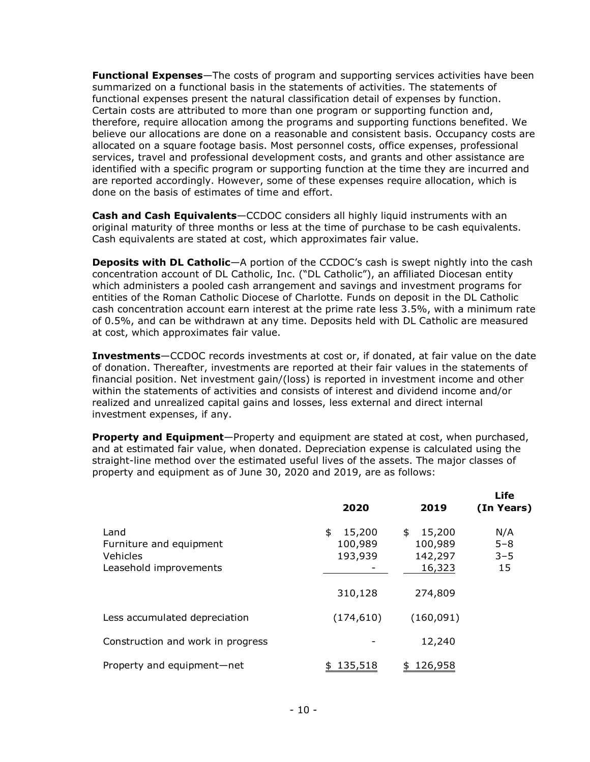**Functional Expenses**—The costs of program and supporting services activities have been summarized on a functional basis in the statements of activities. The statements of functional expenses present the natural classification detail of expenses by function. Certain costs are attributed to more than one program or supporting function and, therefore, require allocation among the programs and supporting functions benefited. We believe our allocations are done on a reasonable and consistent basis. Occupancy costs are allocated on a square footage basis. Most personnel costs, office expenses, professional services, travel and professional development costs, and grants and other assistance are identified with a specific program or supporting function at the time they are incurred and are reported accordingly. However, some of these expenses require allocation, which is done on the basis of estimates of time and effort.

**Cash and Cash Equivalents**—CCDOC considers all highly liquid instruments with an original maturity of three months or less at the time of purchase to be cash equivalents. Cash equivalents are stated at cost, which approximates fair value.

**Deposits with DL Catholic**—A portion of the CCDOC's cash is swept nightly into the cash concentration account of DL Catholic, Inc. ("DL Catholic"), an affiliated Diocesan entity which administers a pooled cash arrangement and savings and investment programs for entities of the Roman Catholic Diocese of Charlotte. Funds on deposit in the DL Catholic cash concentration account earn interest at the prime rate less 3.5%, with a minimum rate of 0.5%, and can be withdrawn at any time. Deposits held with DL Catholic are measured at cost, which approximates fair value.

**Investments**—CCDOC records investments at cost or, if donated, at fair value on the date of donation. Thereafter, investments are reported at their fair values in the statements of financial position. Net investment gain/(loss) is reported in investment income and other within the statements of activities and consists of interest and dividend income and/or realized and unrealized capital gains and losses, less external and direct internal investment expenses, if any.

**Property and Equipment**—Property and equipment are stated at cost, when purchased, and at estimated fair value, when donated. Depreciation expense is calculated using the straight-line method over the estimated useful lives of the assets. The major classes of property and equipment as of June 30, 2020 and 2019, are as follows:

|                                                                       | 2020                               | 2019                                         | Life<br>(In Years)              |
|-----------------------------------------------------------------------|------------------------------------|----------------------------------------------|---------------------------------|
| Land<br>Furniture and equipment<br>Vehicles<br>Leasehold improvements | \$<br>15,200<br>100,989<br>193,939 | 15,200<br>\$<br>100,989<br>142,297<br>16,323 | N/A<br>$5 - 8$<br>$3 - 5$<br>15 |
|                                                                       | 310,128                            | 274,809                                      |                                 |
| Less accumulated depreciation                                         | (174, 610)                         | (160, 091)                                   |                                 |
| Construction and work in progress                                     |                                    | 12,240                                       |                                 |
| Property and equipment-net                                            | 135,518<br>\$                      | 126,958                                      |                                 |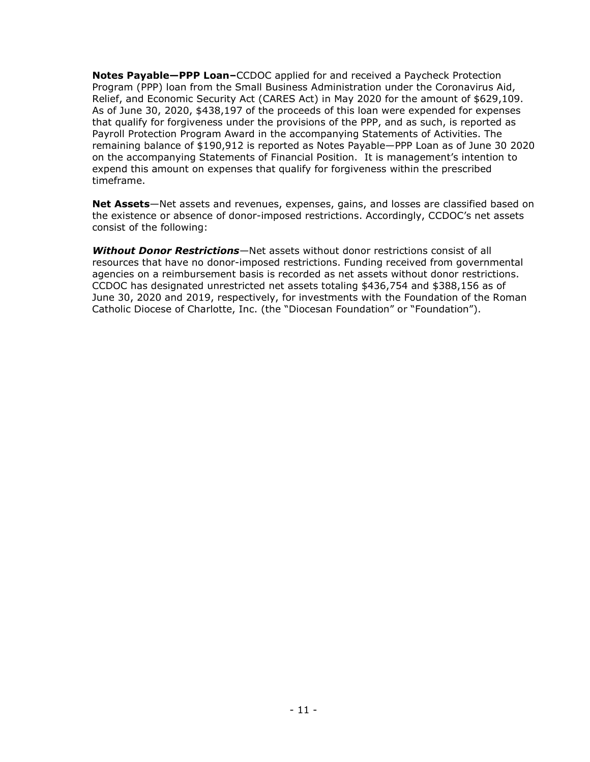**Notes Payable—PPP Loan–**CCDOC applied for and received a Paycheck Protection Program (PPP) loan from the Small Business Administration under the Coronavirus Aid, Relief, and Economic Security Act (CARES Act) in May 2020 for the amount of \$629,109. As of June 30, 2020, \$438,197 of the proceeds of this loan were expended for expenses that qualify for forgiveness under the provisions of the PPP, and as such, is reported as Payroll Protection Program Award in the accompanying Statements of Activities. The remaining balance of \$190,912 is reported as Notes Payable—PPP Loan as of June 30 2020 on the accompanying Statements of Financial Position. It is management's intention to expend this amount on expenses that qualify for forgiveness within the prescribed timeframe.

**Net Assets**—Net assets and revenues, expenses, gains, and losses are classified based on the existence or absence of donor-imposed restrictions. Accordingly, CCDOC's net assets consist of the following:

*Without Donor Restrictions*—Net assets without donor restrictions consist of all resources that have no donor-imposed restrictions. Funding received from governmental agencies on a reimbursement basis is recorded as net assets without donor restrictions. CCDOC has designated unrestricted net assets totaling \$436,754 and \$388,156 as of June 30, 2020 and 2019, respectively, for investments with the Foundation of the Roman Catholic Diocese of Charlotte, Inc. (the "Diocesan Foundation" or "Foundation").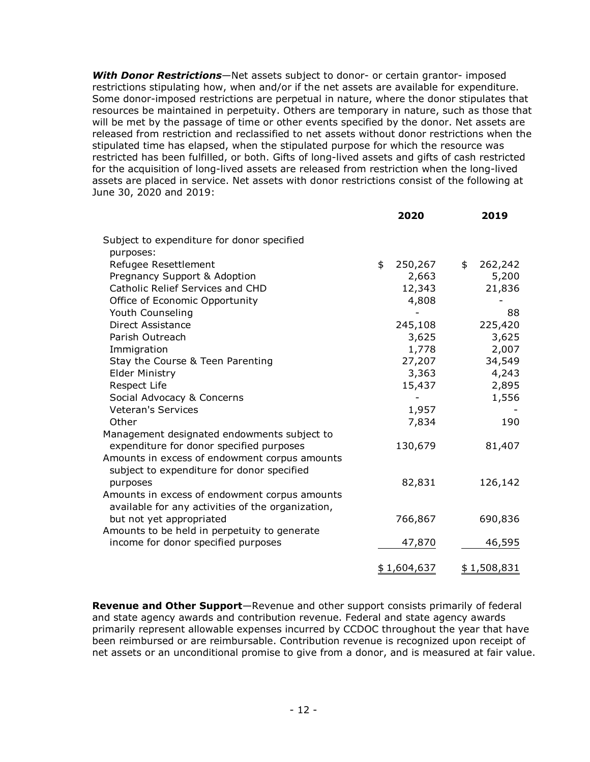*With Donor Restrictions*—Net assets subject to donor- or certain grantor- imposed restrictions stipulating how, when and/or if the net assets are available for expenditure. Some donor-imposed restrictions are perpetual in nature, where the donor stipulates that resources be maintained in perpetuity. Others are temporary in nature, such as those that will be met by the passage of time or other events specified by the donor. Net assets are released from restriction and reclassified to net assets without donor restrictions when the stipulated time has elapsed, when the stipulated purpose for which the resource was restricted has been fulfilled, or both. Gifts of long-lived assets and gifts of cash restricted for the acquisition of long-lived assets are released from restriction when the long-lived assets are placed in service. Net assets with donor restrictions consist of the following at June 30, 2020 and 2019:

|                                                   | 2020          | 2019          |
|---------------------------------------------------|---------------|---------------|
| Subject to expenditure for donor specified        |               |               |
| purposes:                                         |               |               |
| Refugee Resettlement                              | \$<br>250,267 | \$<br>262,242 |
| Pregnancy Support & Adoption                      | 2,663         | 5,200         |
| <b>Catholic Relief Services and CHD</b>           | 12,343        | 21,836        |
| Office of Economic Opportunity                    | 4,808         |               |
| Youth Counseling                                  |               | 88            |
| Direct Assistance                                 | 245,108       | 225,420       |
| Parish Outreach                                   | 3,625         | 3,625         |
| Immigration                                       | 1,778         | 2,007         |
| Stay the Course & Teen Parenting                  | 27,207        | 34,549        |
| <b>Elder Ministry</b>                             | 3,363         | 4,243         |
| <b>Respect Life</b>                               | 15,437        | 2,895         |
| Social Advocacy & Concerns                        |               | 1,556         |
| <b>Veteran's Services</b>                         | 1,957         |               |
| Other                                             | 7,834         | 190           |
| Management designated endowments subject to       |               |               |
| expenditure for donor specified purposes          | 130,679       | 81,407        |
| Amounts in excess of endowment corpus amounts     |               |               |
| subject to expenditure for donor specified        |               |               |
| purposes                                          | 82,831        | 126,142       |
| Amounts in excess of endowment corpus amounts     |               |               |
| available for any activities of the organization, |               |               |
| but not yet appropriated                          | 766,867       | 690,836       |
| Amounts to be held in perpetuity to generate      |               |               |
| income for donor specified purposes               | <u>47,870</u> | 46,595        |
|                                                   |               |               |
|                                                   | \$1,604,637   | \$1,508,831   |

**Revenue and Other Support**—Revenue and other support consists primarily of federal and state agency awards and contribution revenue. Federal and state agency awards primarily represent allowable expenses incurred by CCDOC throughout the year that have been reimbursed or are reimbursable. Contribution revenue is recognized upon receipt of net assets or an unconditional promise to give from a donor, and is measured at fair value.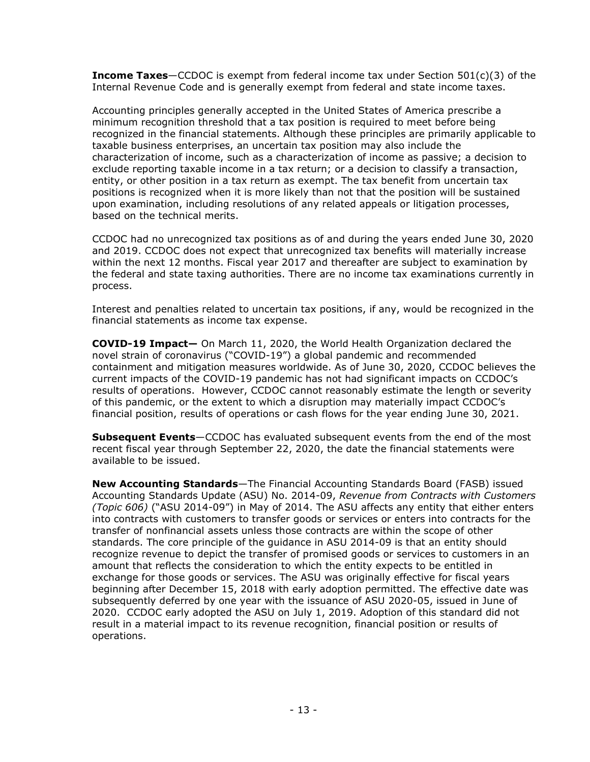**Income Taxes**—CCDOC is exempt from federal income tax under Section 501(c)(3) of the Internal Revenue Code and is generally exempt from federal and state income taxes.

Accounting principles generally accepted in the United States of America prescribe a minimum recognition threshold that a tax position is required to meet before being recognized in the financial statements. Although these principles are primarily applicable to taxable business enterprises, an uncertain tax position may also include the characterization of income, such as a characterization of income as passive; a decision to exclude reporting taxable income in a tax return; or a decision to classify a transaction, entity, or other position in a tax return as exempt. The tax benefit from uncertain tax positions is recognized when it is more likely than not that the position will be sustained upon examination, including resolutions of any related appeals or litigation processes, based on the technical merits.

CCDOC had no unrecognized tax positions as of and during the years ended June 30, 2020 and 2019. CCDOC does not expect that unrecognized tax benefits will materially increase within the next 12 months. Fiscal year 2017 and thereafter are subject to examination by the federal and state taxing authorities. There are no income tax examinations currently in process.

Interest and penalties related to uncertain tax positions, if any, would be recognized in the financial statements as income tax expense.

**COVID-19 Impact—** On March 11, 2020, the World Health Organization declared the novel strain of coronavirus ("COVID-19") a global pandemic and recommended containment and mitigation measures worldwide. As of June 30, 2020, CCDOC believes the current impacts of the COVID-19 pandemic has not had significant impacts on CCDOC's results of operations. However, CCDOC cannot reasonably estimate the length or severity of this pandemic, or the extent to which a disruption may materially impact CCDOC's financial position, results of operations or cash flows for the year ending June 30, 2021.

**Subsequent Events**—CCDOC has evaluated subsequent events from the end of the most recent fiscal year through September 22, 2020, the date the financial statements were available to be issued.

**New Accounting Standards**—The Financial Accounting Standards Board (FASB) issued Accounting Standards Update (ASU) No. 2014-09, *Revenue from Contracts with Customers (Topic 606)* ("ASU 2014-09") in May of 2014. The ASU affects any entity that either enters into contracts with customers to transfer goods or services or enters into contracts for the transfer of nonfinancial assets unless those contracts are within the scope of other standards. The core principle of the guidance in ASU 2014-09 is that an entity should recognize revenue to depict the transfer of promised goods or services to customers in an amount that reflects the consideration to which the entity expects to be entitled in exchange for those goods or services. The ASU was originally effective for fiscal years beginning after December 15, 2018 with early adoption permitted. The effective date was subsequently deferred by one year with the issuance of ASU 2020-05, issued in June of 2020. CCDOC early adopted the ASU on July 1, 2019. Adoption of this standard did not result in a material impact to its revenue recognition, financial position or results of operations.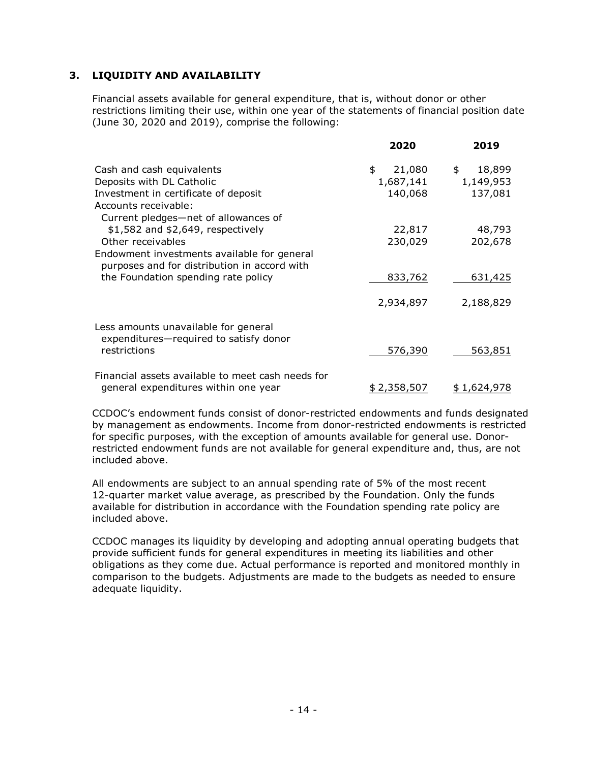#### **3. LIQUIDITY AND AVAILABILITY**

Financial assets available for general expenditure, that is, without donor or other restrictions limiting their use, within one year of the statements of financial position date (June 30, 2020 and 2019), comprise the following:

|                                                                                             | 2020         | 2019         |
|---------------------------------------------------------------------------------------------|--------------|--------------|
| Cash and cash equivalents                                                                   | 21,080<br>\$ | 18,899<br>\$ |
| Deposits with DL Catholic                                                                   | 1,687,141    | 1,149,953    |
| Investment in certificate of deposit                                                        | 140,068      | 137,081      |
| Accounts receivable:                                                                        |              |              |
| Current pledges-net of allowances of                                                        |              |              |
| \$1,582 and \$2,649, respectively                                                           | 22,817       | 48,793       |
| Other receivables                                                                           | 230,029      | 202,678      |
| Endowment investments available for general<br>purposes and for distribution in accord with |              |              |
| the Foundation spending rate policy                                                         | 833,762      | 631,425      |
|                                                                                             |              |              |
|                                                                                             | 2,934,897    | 2,188,829    |
|                                                                                             |              |              |
| Less amounts unavailable for general<br>expenditures-required to satisfy donor              |              |              |
| restrictions                                                                                | 576,390      | 563,851      |
| Financial assets available to meet cash needs for                                           |              |              |
| general expenditures within one year                                                        | \$2,358,507  | \$1,624,978  |

CCDOC's endowment funds consist of donor-restricted endowments and funds designated by management as endowments. Income from donor-restricted endowments is restricted for specific purposes, with the exception of amounts available for general use. Donorrestricted endowment funds are not available for general expenditure and, thus, are not included above.

All endowments are subject to an annual spending rate of 5% of the most recent 12-quarter market value average, as prescribed by the Foundation. Only the funds available for distribution in accordance with the Foundation spending rate policy are included above.

CCDOC manages its liquidity by developing and adopting annual operating budgets that provide sufficient funds for general expenditures in meeting its liabilities and other obligations as they come due. Actual performance is reported and monitored monthly in comparison to the budgets. Adjustments are made to the budgets as needed to ensure adequate liquidity.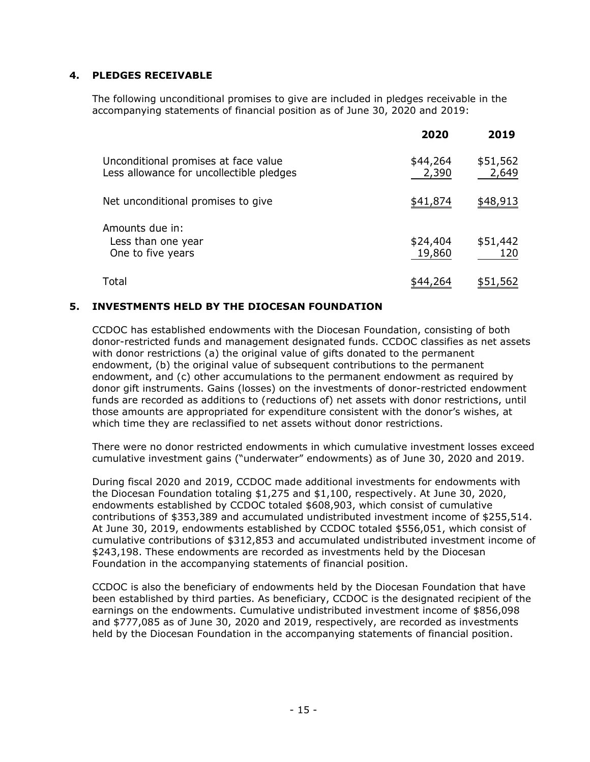#### **4. PLEDGES RECEIVABLE**

The following unconditional promises to give are included in pledges receivable in the accompanying statements of financial position as of June 30, 2020 and 2019:

|                                                                                  | 2020               | 2019              |
|----------------------------------------------------------------------------------|--------------------|-------------------|
| Unconditional promises at face value<br>Less allowance for uncollectible pledges | \$44,264<br>2,390  | \$51,562<br>2,649 |
| Net unconditional promises to give                                               | \$41,874           | \$48,913          |
| Amounts due in:<br>Less than one year<br>One to five years                       | \$24,404<br>19,860 | \$51,442<br>120   |
| Total                                                                            | \$44,264           | \$51,562          |

#### **5. INVESTMENTS HELD BY THE DIOCESAN FOUNDATION**

CCDOC has established endowments with the Diocesan Foundation, consisting of both donor-restricted funds and management designated funds. CCDOC classifies as net assets with donor restrictions (a) the original value of gifts donated to the permanent endowment, (b) the original value of subsequent contributions to the permanent endowment, and (c) other accumulations to the permanent endowment as required by donor gift instruments. Gains (losses) on the investments of donor-restricted endowment funds are recorded as additions to (reductions of) net assets with donor restrictions, until those amounts are appropriated for expenditure consistent with the donor's wishes, at which time they are reclassified to net assets without donor restrictions.

There were no donor restricted endowments in which cumulative investment losses exceed cumulative investment gains ("underwater" endowments) as of June 30, 2020 and 2019.

During fiscal 2020 and 2019, CCDOC made additional investments for endowments with the Diocesan Foundation totaling \$1,275 and \$1,100, respectively. At June 30, 2020, endowments established by CCDOC totaled \$608,903, which consist of cumulative contributions of \$353,389 and accumulated undistributed investment income of \$255,514. At June 30, 2019, endowments established by CCDOC totaled \$556,051, which consist of cumulative contributions of \$312,853 and accumulated undistributed investment income of \$243,198. These endowments are recorded as investments held by the Diocesan Foundation in the accompanying statements of financial position.

CCDOC is also the beneficiary of endowments held by the Diocesan Foundation that have been established by third parties. As beneficiary, CCDOC is the designated recipient of the earnings on the endowments. Cumulative undistributed investment income of \$856,098 and \$777,085 as of June 30, 2020 and 2019, respectively, are recorded as investments held by the Diocesan Foundation in the accompanying statements of financial position.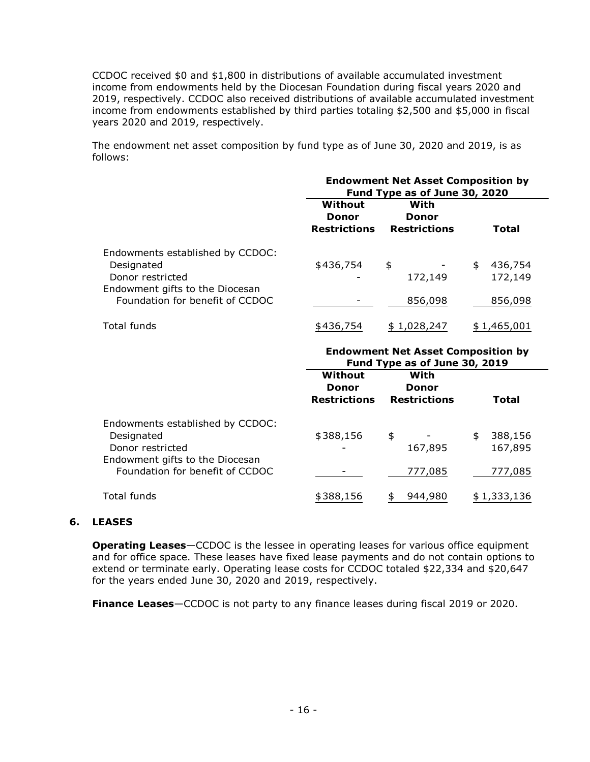CCDOC received \$0 and \$1,800 in distributions of available accumulated investment income from endowments held by the Diocesan Foundation during fiscal years 2020 and 2019, respectively. CCDOC also received distributions of available accumulated investment income from endowments established by third parties totaling \$2,500 and \$5,000 in fiscal years 2020 and 2019, respectively.

The endowment net asset composition by fund type as of June 30, 2020 and 2019, is as follows:

|                                                                                                                                          | <b>Endowment Net Asset Composition by</b><br>Fund Type as of June 30, 2020 |                                      |                                     |  |  |
|------------------------------------------------------------------------------------------------------------------------------------------|----------------------------------------------------------------------------|--------------------------------------|-------------------------------------|--|--|
|                                                                                                                                          | Without<br>Donor<br><b>Restrictions</b>                                    | With<br>Donor<br><b>Restrictions</b> | Total                               |  |  |
| Endowments established by CCDOC:<br>Designated<br>Donor restricted<br>Endowment gifts to the Diocesan<br>Foundation for benefit of CCDOC | \$436,754                                                                  | \$<br>172,149<br>856,098             | 436,754<br>\$<br>172,149<br>856,098 |  |  |
| Total funds                                                                                                                              | \$436,754                                                                  | \$1,028,247                          | \$1,465,001                         |  |  |

| Total funds |  |
|-------------|--|
|             |  |

|                                                                                                       | <b>Endowment Net Asset Composition by</b><br>Fund Type as of June 30, 2019 |                                             |                          |  |  |
|-------------------------------------------------------------------------------------------------------|----------------------------------------------------------------------------|---------------------------------------------|--------------------------|--|--|
|                                                                                                       | Without<br>Donor<br><b>Restrictions</b>                                    | With<br><b>Donor</b><br><b>Restrictions</b> | Total                    |  |  |
| Endowments established by CCDOC:<br>Designated<br>Donor restricted<br>Endowment gifts to the Diocesan | \$388,156                                                                  | \$<br>167,895                               | 388,156<br>\$<br>167,895 |  |  |
| Foundation for benefit of CCDOC                                                                       |                                                                            | 777,085                                     | 777,085                  |  |  |
| Total funds                                                                                           | \$388,156                                                                  | 944,980                                     | \$1,333,136              |  |  |

#### **6. LEASES**

**Operating Leases**—CCDOC is the lessee in operating leases for various office equipment and for office space. These leases have fixed lease payments and do not contain options to extend or terminate early. Operating lease costs for CCDOC totaled \$22,334 and \$20,647 for the years ended June 30, 2020 and 2019, respectively.

**Finance Leases**—CCDOC is not party to any finance leases during fiscal 2019 or 2020.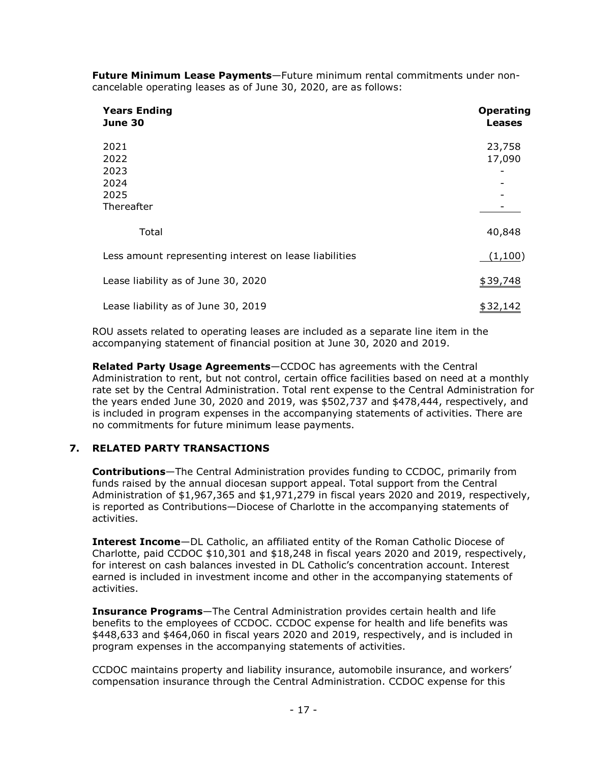**Future Minimum Lease Payments**—Future minimum rental commitments under noncancelable operating leases as of June 30, 2020, are as follows:

| <b>Years Ending</b><br>June 30                         | <b>Operating</b><br><b>Leases</b> |
|--------------------------------------------------------|-----------------------------------|
| 2021<br>2022<br>2023<br>2024<br>2025<br>Thereafter     | 23,758<br>17,090                  |
| Total                                                  | 40,848                            |
| Less amount representing interest on lease liabilities | (1,100)                           |
| Lease liability as of June 30, 2020                    | \$39,748                          |
| Lease liability as of June 30, 2019                    | \$32,142                          |

ROU assets related to operating leases are included as a separate line item in the accompanying statement of financial position at June 30, 2020 and 2019.

**Related Party Usage Agreements**—CCDOC has agreements with the Central Administration to rent, but not control, certain office facilities based on need at a monthly rate set by the Central Administration. Total rent expense to the Central Administration for the years ended June 30, 2020 and 2019, was \$502,737 and \$478,444, respectively, and is included in program expenses in the accompanying statements of activities. There are no commitments for future minimum lease payments.

#### **7. RELATED PARTY TRANSACTIONS**

**Contributions**—The Central Administration provides funding to CCDOC, primarily from funds raised by the annual diocesan support appeal. Total support from the Central Administration of \$1,967,365 and \$1,971,279 in fiscal years 2020 and 2019, respectively, is reported as Contributions—Diocese of Charlotte in the accompanying statements of activities.

**Interest Income**—DL Catholic, an affiliated entity of the Roman Catholic Diocese of Charlotte, paid CCDOC \$10,301 and \$18,248 in fiscal years 2020 and 2019, respectively, for interest on cash balances invested in DL Catholic's concentration account. Interest earned is included in investment income and other in the accompanying statements of activities.

**Insurance Programs**—The Central Administration provides certain health and life benefits to the employees of CCDOC. CCDOC expense for health and life benefits was \$448,633 and \$464,060 in fiscal years 2020 and 2019, respectively, and is included in program expenses in the accompanying statements of activities.

CCDOC maintains property and liability insurance, automobile insurance, and workers' compensation insurance through the Central Administration. CCDOC expense for this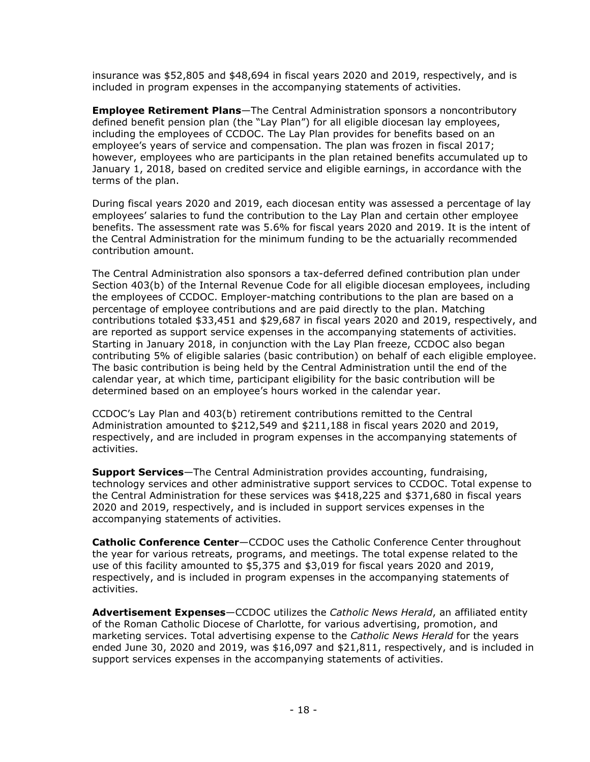insurance was \$52,805 and \$48,694 in fiscal years 2020 and 2019, respectively, and is included in program expenses in the accompanying statements of activities.

**Employee Retirement Plans**—The Central Administration sponsors a noncontributory defined benefit pension plan (the "Lay Plan") for all eligible diocesan lay employees, including the employees of CCDOC. The Lay Plan provides for benefits based on an employee's years of service and compensation. The plan was frozen in fiscal 2017; however, employees who are participants in the plan retained benefits accumulated up to January 1, 2018, based on credited service and eligible earnings, in accordance with the terms of the plan.

During fiscal years 2020 and 2019, each diocesan entity was assessed a percentage of lay employees' salaries to fund the contribution to the Lay Plan and certain other employee benefits. The assessment rate was 5.6% for fiscal years 2020 and 2019. It is the intent of the Central Administration for the minimum funding to be the actuarially recommended contribution amount.

The Central Administration also sponsors a tax-deferred defined contribution plan under Section 403(b) of the Internal Revenue Code for all eligible diocesan employees, including the employees of CCDOC. Employer-matching contributions to the plan are based on a percentage of employee contributions and are paid directly to the plan. Matching contributions totaled \$33,451 and \$29,687 in fiscal years 2020 and 2019, respectively, and are reported as support service expenses in the accompanying statements of activities. Starting in January 2018, in conjunction with the Lay Plan freeze, CCDOC also began contributing 5% of eligible salaries (basic contribution) on behalf of each eligible employee. The basic contribution is being held by the Central Administration until the end of the calendar year, at which time, participant eligibility for the basic contribution will be determined based on an employee's hours worked in the calendar year.

CCDOC's Lay Plan and 403(b) retirement contributions remitted to the Central Administration amounted to \$212,549 and \$211,188 in fiscal years 2020 and 2019, respectively, and are included in program expenses in the accompanying statements of activities.

**Support Services**—The Central Administration provides accounting, fundraising, technology services and other administrative support services to CCDOC. Total expense to the Central Administration for these services was \$418,225 and \$371,680 in fiscal years 2020 and 2019, respectively, and is included in support services expenses in the accompanying statements of activities.

**Catholic Conference Center**—CCDOC uses the Catholic Conference Center throughout the year for various retreats, programs, and meetings. The total expense related to the use of this facility amounted to \$5,375 and \$3,019 for fiscal years 2020 and 2019, respectively, and is included in program expenses in the accompanying statements of activities.

**Advertisement Expenses**—CCDOC utilizes the *Catholic News Herald*, an affiliated entity of the Roman Catholic Diocese of Charlotte, for various advertising, promotion, and marketing services. Total advertising expense to the *Catholic News Herald* for the years ended June 30, 2020 and 2019, was \$16,097 and \$21,811, respectively, and is included in support services expenses in the accompanying statements of activities.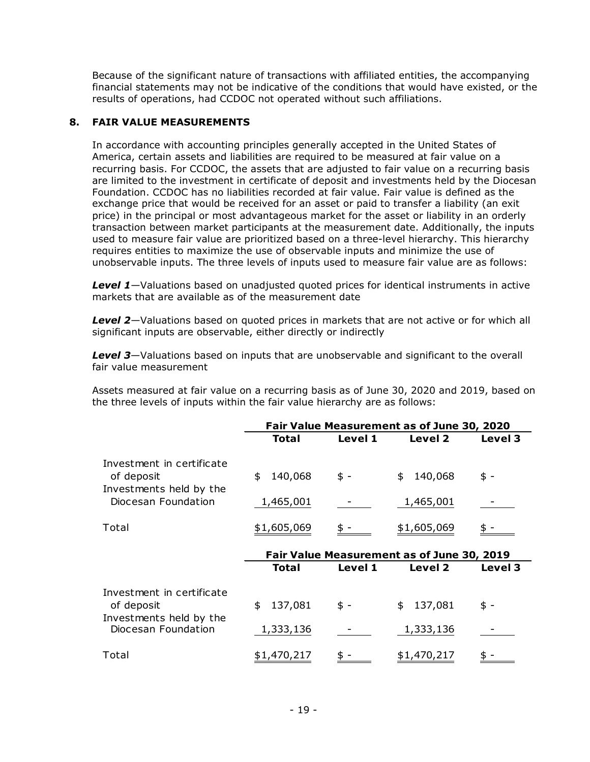Because of the significant nature of transactions with affiliated entities, the accompanying financial statements may not be indicative of the conditions that would have existed, or the results of operations, had CCDOC not operated without such affiliations.

#### **8. FAIR VALUE MEASUREMENTS**

In accordance with accounting principles generally accepted in the United States of America, certain assets and liabilities are required to be measured at fair value on a recurring basis. For CCDOC, the assets that are adjusted to fair value on a recurring basis are limited to the investment in certificate of deposit and investments held by the Diocesan Foundation. CCDOC has no liabilities recorded at fair value. Fair value is defined as the exchange price that would be received for an asset or paid to transfer a liability (an exit price) in the principal or most advantageous market for the asset or liability in an orderly transaction between market participants at the measurement date. Additionally, the inputs used to measure fair value are prioritized based on a three-level hierarchy. This hierarchy requires entities to maximize the use of observable inputs and minimize the use of unobservable inputs. The three levels of inputs used to measure fair value are as follows:

*Level 1*—Valuations based on unadjusted quoted prices for identical instruments in active markets that are available as of the measurement date

*Level 2*—Valuations based on quoted prices in markets that are not active or for which all significant inputs are observable, either directly or indirectly

*Level 3*—Valuations based on inputs that are unobservable and significant to the overall fair value measurement

Assets measured at fair value on a recurring basis as of June 30, 2020 and 2019, based on the three levels of inputs within the fair value hierarchy are as follows:

|                                                                    | <b>Fair Value Measurement as of June 30, 2020</b> |         |                                            |         |  |  |
|--------------------------------------------------------------------|---------------------------------------------------|---------|--------------------------------------------|---------|--|--|
|                                                                    | Total                                             | Level 1 | Level 2                                    | Level 3 |  |  |
| Investment in certificate<br>of deposit<br>Investments held by the | 140,068<br>\$                                     | $$ -$   | 140,068<br>\$                              | $$ -$   |  |  |
| Diocesan Foundation                                                | 1,465,001                                         |         | 1,465,001                                  |         |  |  |
| Total                                                              | \$1,605,069                                       |         | \$1,605,069                                |         |  |  |
|                                                                    |                                                   |         | Fair Value Measurement as of June 30, 2019 |         |  |  |
|                                                                    | Total                                             |         |                                            |         |  |  |
|                                                                    |                                                   | Level 1 | Level 2                                    | Level 3 |  |  |
| Investment in certificate                                          |                                                   |         |                                            |         |  |  |
| of deposit                                                         | \$<br>137,081                                     | $$ -$   | 137,081<br>\$                              | $$ -$   |  |  |
| Investments held by the<br>Diocesan Foundation                     | 1,333,136                                         |         | 1,333,136                                  |         |  |  |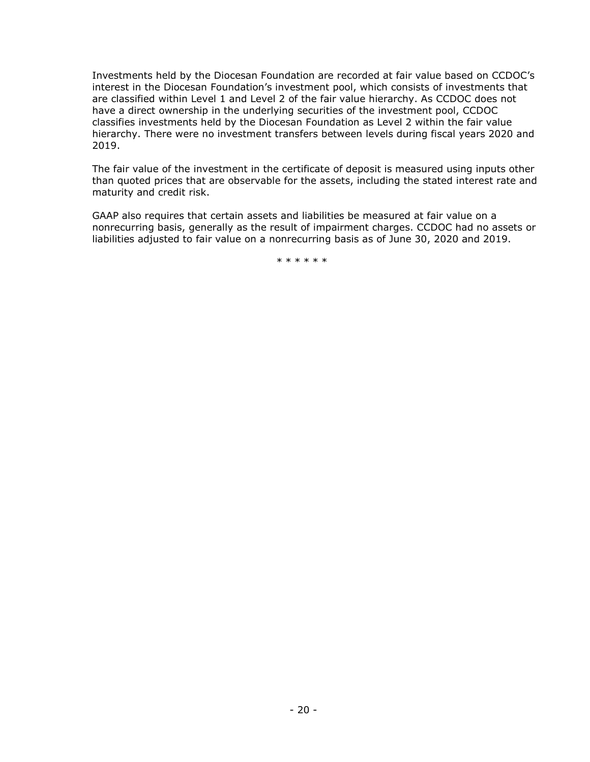Investments held by the Diocesan Foundation are recorded at fair value based on CCDOC's interest in the Diocesan Foundation's investment pool, which consists of investments that are classified within Level 1 and Level 2 of the fair value hierarchy. As CCDOC does not have a direct ownership in the underlying securities of the investment pool, CCDOC classifies investments held by the Diocesan Foundation as Level 2 within the fair value hierarchy. There were no investment transfers between levels during fiscal years 2020 and 2019.

The fair value of the investment in the certificate of deposit is measured using inputs other than quoted prices that are observable for the assets, including the stated interest rate and maturity and credit risk.

GAAP also requires that certain assets and liabilities be measured at fair value on a nonrecurring basis, generally as the result of impairment charges. CCDOC had no assets or liabilities adjusted to fair value on a nonrecurring basis as of June 30, 2020 and 2019.

\*\*\*\*\*\*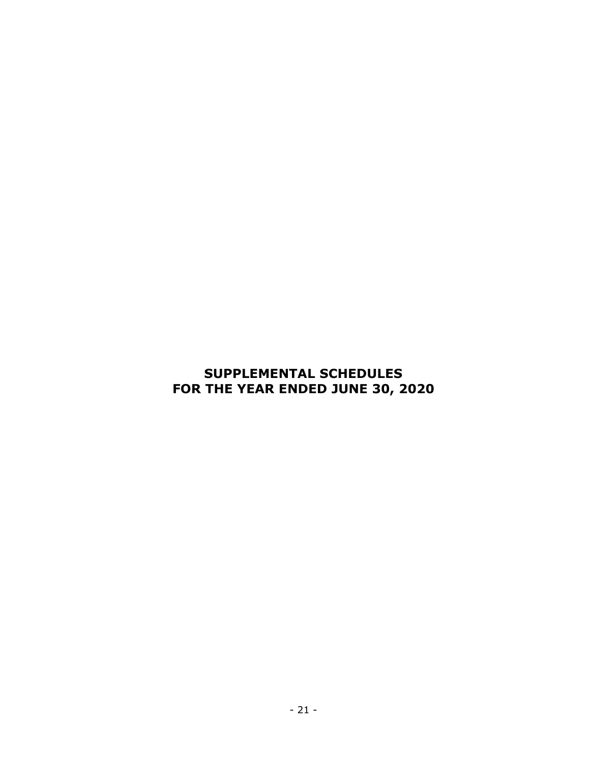## **SUPPLEMENTAL SCHEDULES FOR THE YEAR ENDED JUNE 30, 2020**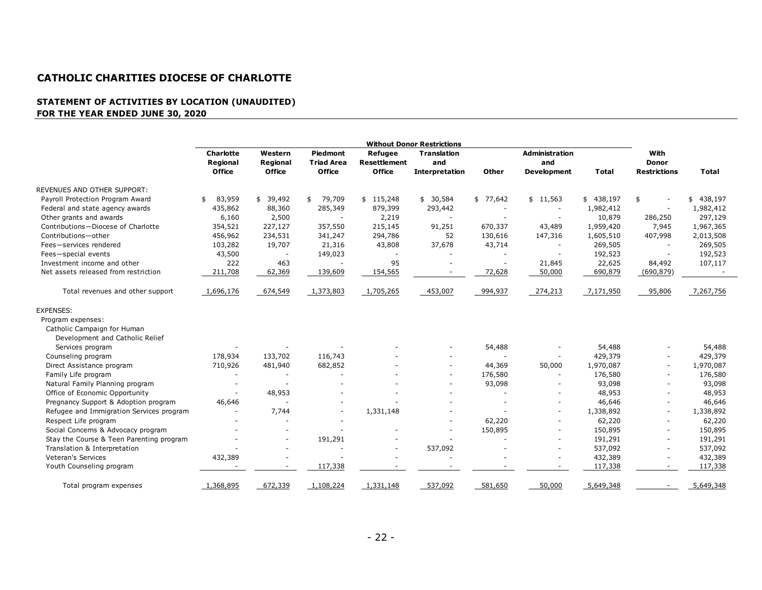#### **STATEMENT OF ACTIVITIES BY LOCATION (UNAUDITED) FOR THE YEAR ENDED JUNE 30, 2020**

|                                          | <b>Without Donor Restrictions</b> |                          |                                      |                                |                           |                          |                              |              |                                |              |
|------------------------------------------|-----------------------------------|--------------------------|--------------------------------------|--------------------------------|---------------------------|--------------------------|------------------------------|--------------|--------------------------------|--------------|
|                                          | <b>Charlotte</b><br>Regional      | Western<br>Regional      | <b>Piedmont</b><br><b>Triad Area</b> | Refugee<br><b>Resettlement</b> | <b>Translation</b><br>and |                          | <b>Administration</b><br>and |              | With<br><b>Donor</b>           |              |
|                                          | <b>Office</b>                     | Office                   | <b>Office</b>                        | <b>Office</b>                  | Interpretation            | Other                    | <b>Development</b>           | <b>Total</b> | <b>Restrictions</b>            | <b>Total</b> |
| REVENUES AND OTHER SUPPORT:              |                                   |                          |                                      |                                |                           |                          |                              |              |                                |              |
| Payroll Protection Program Award         | 83,959<br>\$                      | 39,492<br>\$             | 79,709<br>\$                         | \$115,248                      | \$30,584                  | \$77,642                 | \$11,563                     | \$438,197    | \$<br>$\overline{\phantom{a}}$ | \$438,197    |
| Federal and state agency awards          | 435,862                           | 88,360                   | 285,349                              | 879,399                        | 293,442                   |                          |                              | 1,982,412    |                                | 1,982,412    |
| Other grants and awards                  | 6,160                             | 2,500                    |                                      | 2,219                          | $\overline{a}$            | $\overline{\phantom{a}}$ |                              | 10,879       | 286,250                        | 297,129      |
| Contributions-Diocese of Charlotte       | 354,521                           | 227,127                  | 357,550                              | 215,145                        | 91,251                    | 670,337                  | 43,489                       | 1,959,420    | 7,945                          | 1,967,365    |
| Contributions-other                      | 456,962                           | 234,531                  | 341,247                              | 294,786                        | 52                        | 130,616                  | 147,316                      | 1,605,510    | 407,998                        | 2,013,508    |
| Fees-services rendered                   | 103,282                           | 19,707                   | 21,316                               | 43,808                         | 37,678                    | 43,714                   |                              | 269,505      |                                | 269,505      |
| Fees-special events                      | 43,500                            |                          | 149,023                              |                                |                           |                          |                              | 192,523      |                                | 192,523      |
| Investment income and other              | 222                               | 463                      |                                      | 95                             |                           |                          | 21,845                       | 22,625       | 84,492                         | 107,117      |
| Net assets released from restriction     | 211,708                           | 62,369                   | 139,609                              | 154,565                        |                           | 72,628                   | 50,000                       | 690,879      | (690, 879)                     |              |
| Total revenues and other support         | 1,696,176                         | 674,549                  | 1,373,803                            | 1,705,265                      | 453,007                   | 994,937                  | 274,213                      | 7,171,950    | 95,806                         | 7,267,756    |
| <b>EXPENSES:</b>                         |                                   |                          |                                      |                                |                           |                          |                              |              |                                |              |
| Program expenses:                        |                                   |                          |                                      |                                |                           |                          |                              |              |                                |              |
| Catholic Campaign for Human              |                                   |                          |                                      |                                |                           |                          |                              |              |                                |              |
| Development and Catholic Relief          |                                   |                          |                                      |                                |                           |                          |                              |              |                                |              |
| Services program                         |                                   |                          |                                      |                                | ٠                         | 54,488                   |                              | 54,488       | $\overline{\phantom{a}}$       | 54,488       |
| Counseling program                       | 178,934                           | 133,702                  | 116,743                              |                                | ۰                         | $\overline{\phantom{a}}$ | $\sim$                       | 429,379      | $\sim$                         | 429,379      |
| Direct Assistance program                | 710,926                           | 481,940                  | 682,852                              |                                | $\overline{\phantom{a}}$  | 44,369                   | 50,000                       | 1,970,087    | $\overline{\phantom{a}}$       | 1,970,087    |
| Family Life program                      | $\overline{\phantom{a}}$          |                          |                                      |                                | $\overline{\phantom{a}}$  | 176,580                  | $\sim$                       | 176,580      | $\overline{\phantom{a}}$       | 176,580      |
| Natural Family Planning program          |                                   |                          |                                      |                                | $\overline{a}$            | 93,098                   |                              | 93,098       | $\overline{\phantom{a}}$       | 93,098       |
| Office of Economic Opportunity           |                                   | 48,953                   |                                      |                                |                           |                          | $\overline{\phantom{a}}$     | 48,953       | $\overline{\phantom{a}}$       | 48,953       |
| Pregnancy Support & Adoption program     | 46,646                            |                          |                                      |                                |                           |                          |                              | 46,646       | $\overline{\phantom{a}}$       | 46,646       |
| Refugee and Immigration Services program |                                   | 7,744                    | $\overline{\phantom{a}}$             | 1,331,148                      |                           |                          | $\overline{\phantom{a}}$     | 1,338,892    | $\overline{\phantom{a}}$       | 1,338,892    |
| Respect Life program                     |                                   | ٠                        | $\overline{\phantom{a}}$             |                                | $\overline{\phantom{a}}$  | 62,220                   | $\sim$                       | 62,220       | $\overline{\phantom{a}}$       | 62,220       |
| Social Concerns & Advocacy program       |                                   | ٠                        |                                      |                                | $\overline{\phantom{a}}$  | 150,895                  | $\overline{\phantom{a}}$     | 150,895      | $\sim$                         | 150,895      |
| Stay the Course & Teen Parenting program |                                   | $\overline{\phantom{a}}$ | 191,291                              |                                | ÷.                        | ÷,                       | $\sim$                       | 191,291      | $\sim$                         | 191,291      |
| Translation & Interpretation             |                                   | $\overline{\phantom{a}}$ |                                      | $\overline{\phantom{a}}$       | 537,092                   |                          | ٠                            | 537,092      | $\sim$                         | 537,092      |
| Veteran's Services                       | 432,389                           |                          |                                      |                                |                           |                          |                              | 432,389      |                                | 432,389      |
| Youth Counseling program                 |                                   |                          | 117,338                              |                                |                           |                          |                              | 117,338      |                                | 117,338      |
| Total program expenses                   | 1,368,895                         | 672,339                  | 1,108,224                            | 1,331,148                      | 537,092                   | 581,650                  | 50,000                       | 5,649,348    |                                | 5,649,348    |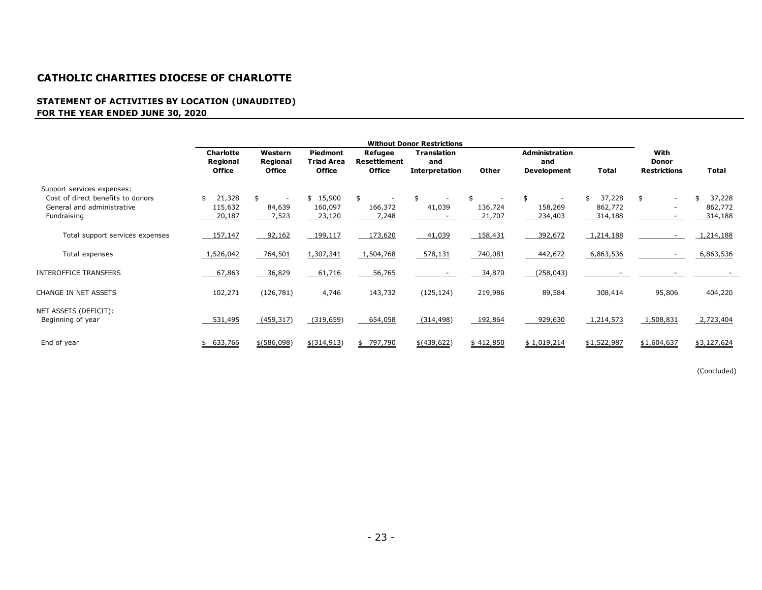#### **STATEMENT OF ACTIVITIES BY LOCATION (UNAUDITED) FOR THE YEAR ENDED JUNE 30, 2020**

|                                                                                                              |                                        |                                      |                                                |                                          | <b>Without Donor Restrictions</b>    |                   |                                                    |                                    |                                             |                              |
|--------------------------------------------------------------------------------------------------------------|----------------------------------------|--------------------------------------|------------------------------------------------|------------------------------------------|--------------------------------------|-------------------|----------------------------------------------------|------------------------------------|---------------------------------------------|------------------------------|
|                                                                                                              | Charlotte<br>Regional<br><b>Office</b> | Western<br>Regional<br><b>Office</b> | Piedmont<br><b>Triad Area</b><br><b>Office</b> | Refugee<br>Resettlement<br><b>Office</b> | Translation<br>and<br>Interpretation | Other             | <b>Administration</b><br>and<br><b>Development</b> | Total                              | With<br><b>Donor</b><br><b>Restrictions</b> | Total                        |
| Support services expenses:<br>Cost of direct benefits to donors<br>General and administrative<br>Fundraising | 21,328<br>\$<br>115,632<br>20,187      | 84,639<br>7,523                      | \$15,900<br>160,097<br>23,120                  | 166,372<br>7,248                         | 41,039                               | 136,724<br>21,707 | \$<br>158,269<br>234,403                           | 37,228<br>\$<br>862,772<br>314,188 | \$<br>$\overline{\phantom{a}}$              | 37,228<br>862,772<br>314,188 |
| Total support services expenses                                                                              | 157,147                                | 92,162                               | 199,117                                        | 173,620                                  | 41,039                               | 158,431           | 392,672                                            | 1,214,188                          |                                             | 1,214,188                    |
| Total expenses                                                                                               | 1,526,042                              | 764,501                              | 1,307,341                                      | 1,504,768                                | 578,131                              | 740,081           | 442,672                                            | 6,863,536                          |                                             | 6,863,536                    |
| <b>INTEROFFICE TRANSFERS</b>                                                                                 | 67,863                                 | 36,829                               | 61,716                                         | 56,765                                   |                                      | 34,870            | (258, 043)                                         |                                    |                                             |                              |
| CHANGE IN NET ASSETS                                                                                         | 102,271                                | (126, 781)                           | 4,746                                          | 143,732                                  | (125, 124)                           | 219,986           | 89,584                                             | 308,414                            | 95,806                                      | 404,220                      |
| NET ASSETS (DEFICIT):<br>Beginning of year                                                                   | 531,495                                | (459, 317)                           | (319, 659)                                     | 654,058                                  | (314, 498)                           | 192,864           | 929,630                                            | 1,214,573                          | 1,508,831                                   | 2,723,404                    |
| End of year                                                                                                  | 633,766                                | $$$ (586,098)                        | $$$ (314,913)                                  | \$797,790                                | $$$ (439,622)                        | \$412,850         | \$1,019,214                                        | \$1,522,987                        | \$1,604,637                                 | \$3,127,624                  |

(Concluded)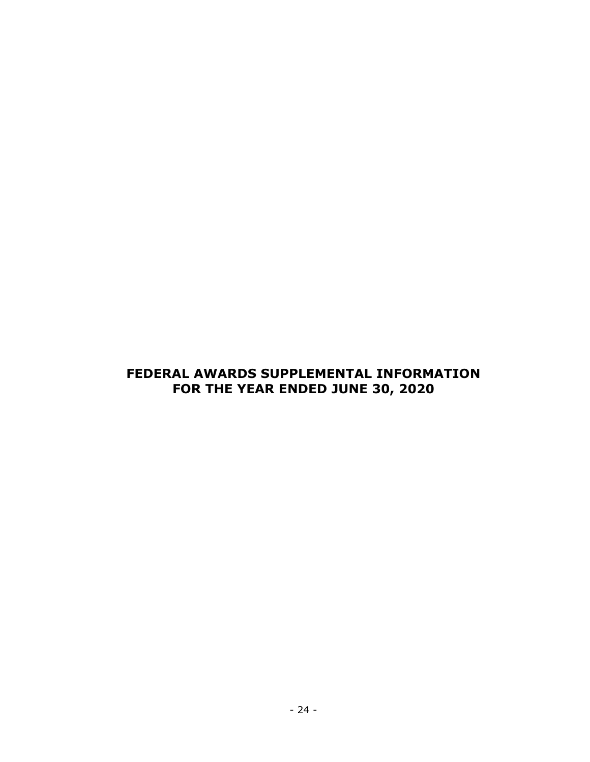## **FEDERAL AWARDS SUPPLEMENTAL INFORMATION FOR THE YEAR ENDED JUNE 30, 2020**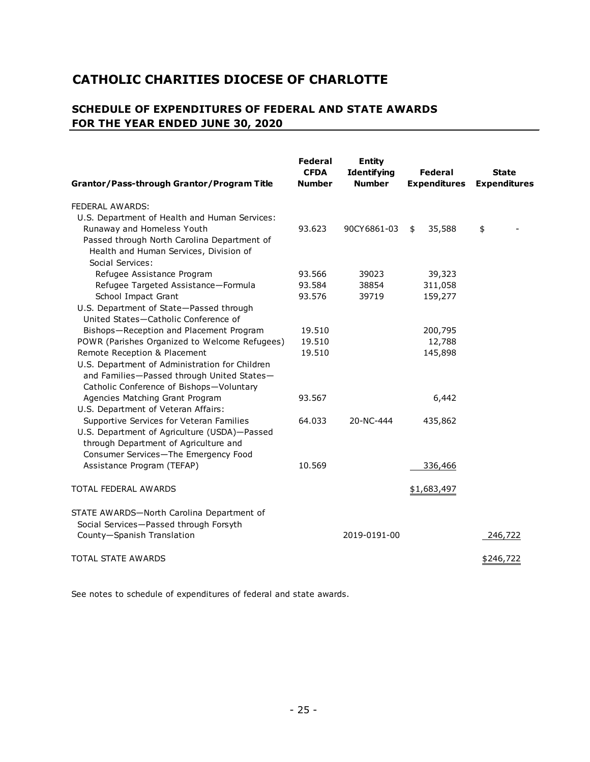#### **SCHEDULE OF EXPENDITURES OF FEDERAL AND STATE AWARDS FOR THE YEAR ENDED JUNE 30, 2020**

| <b>FEDERAL AWARDS:</b>                                                     |           |
|----------------------------------------------------------------------------|-----------|
| U.S. Department of Health and Human Services:                              |           |
| Runaway and Homeless Youth<br>93.623<br>90CY6861-03<br>35,588<br>\$        | \$        |
| Passed through North Carolina Department of                                |           |
| Health and Human Services, Division of                                     |           |
| Social Services:                                                           |           |
| 39023<br>Refugee Assistance Program<br>93.566<br>39,323                    |           |
| Refugee Targeted Assistance-Formula<br>93.584<br>38854<br>311,058          |           |
| School Impact Grant<br>39719<br>93.576<br>159,277                          |           |
| U.S. Department of State-Passed through                                    |           |
| United States-Catholic Conference of                                       |           |
| Bishops-Reception and Placement Program<br>19.510<br>200,795               |           |
| POWR (Parishes Organized to Welcome Refugees)<br>19.510<br>12,788          |           |
| Remote Reception & Placement<br>19.510<br>145,898                          |           |
| U.S. Department of Administration for Children                             |           |
| and Families-Passed through United States-                                 |           |
| Catholic Conference of Bishops-Voluntary                                   |           |
| Agencies Matching Grant Program<br>93.567<br>6,442                         |           |
| U.S. Department of Veteran Affairs:                                        |           |
| Supportive Services for Veteran Families<br>64.033<br>20-NC-444<br>435,862 |           |
| U.S. Department of Agriculture (USDA)-Passed                               |           |
| through Department of Agriculture and                                      |           |
| Consumer Services-The Emergency Food                                       |           |
| Assistance Program (TEFAP)<br>10.569<br>336,466                            |           |
| <b>TOTAL FEDERAL AWARDS</b><br>\$1,683,497                                 |           |
| STATE AWARDS-North Carolina Department of                                  |           |
| Social Services-Passed through Forsyth                                     |           |
| County-Spanish Translation<br>2019-0191-00                                 | 246,722   |
| <b>TOTAL STATE AWARDS</b>                                                  | \$246,722 |

See notes to schedule of expenditures of federal and state awards.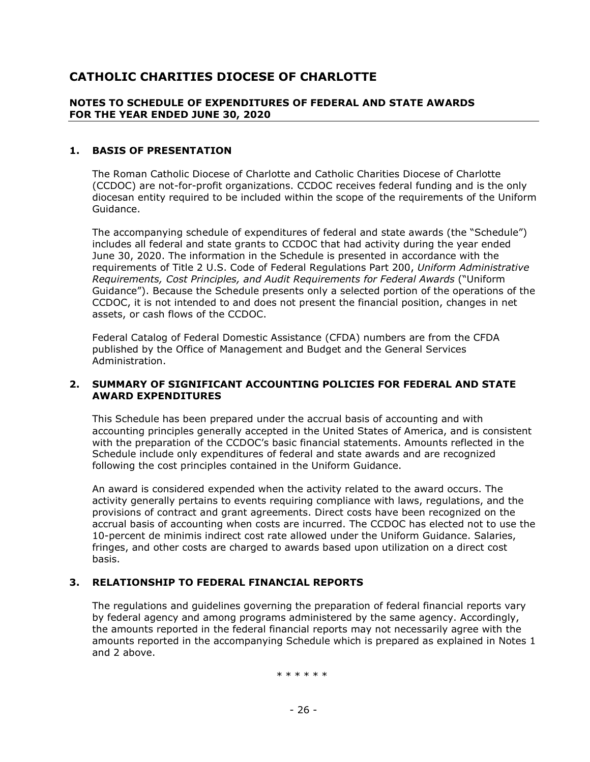#### **NOTES TO SCHEDULE OF EXPENDITURES OF FEDERAL AND STATE AWARDS FOR THE YEAR ENDED JUNE 30, 2020**

#### **1. BASIS OF PRESENTATION**

The Roman Catholic Diocese of Charlotte and Catholic Charities Diocese of Charlotte (CCDOC) are not-for-profit organizations. CCDOC receives federal funding and is the only diocesan entity required to be included within the scope of the requirements of the Uniform Guidance.

The accompanying schedule of expenditures of federal and state awards (the "Schedule") includes all federal and state grants to CCDOC that had activity during the year ended June 30, 2020. The information in the Schedule is presented in accordance with the requirements of Title 2 U.S. Code of Federal Regulations Part 200, *Uniform Administrative Requirements, Cost Principles, and Audit Requirements for Federal Awards* ("Uniform Guidance"). Because the Schedule presents only a selected portion of the operations of the CCDOC, it is not intended to and does not present the financial position, changes in net assets, or cash flows of the CCDOC.

Federal Catalog of Federal Domestic Assistance (CFDA) numbers are from the CFDA published by the Office of Management and Budget and the General Services Administration.

#### **2. SUMMARY OF SIGNIFICANT ACCOUNTING POLICIES FOR FEDERAL AND STATE AWARD EXPENDITURES**

This Schedule has been prepared under the accrual basis of accounting and with accounting principles generally accepted in the United States of America, and is consistent with the preparation of the CCDOC's basic financial statements. Amounts reflected in the Schedule include only expenditures of federal and state awards and are recognized following the cost principles contained in the Uniform Guidance.

An award is considered expended when the activity related to the award occurs. The activity generally pertains to events requiring compliance with laws, regulations, and the provisions of contract and grant agreements. Direct costs have been recognized on the accrual basis of accounting when costs are incurred. The CCDOC has elected not to use the 10-percent de minimis indirect cost rate allowed under the Uniform Guidance. Salaries, fringes, and other costs are charged to awards based upon utilization on a direct cost basis.

#### **3. RELATIONSHIP TO FEDERAL FINANCIAL REPORTS**

The regulations and guidelines governing the preparation of federal financial reports vary by federal agency and among programs administered by the same agency. Accordingly, the amounts reported in the federal financial reports may not necessarily agree with the amounts reported in the accompanying Schedule which is prepared as explained in Notes 1 and 2 above.

\*\*\*\*\*\*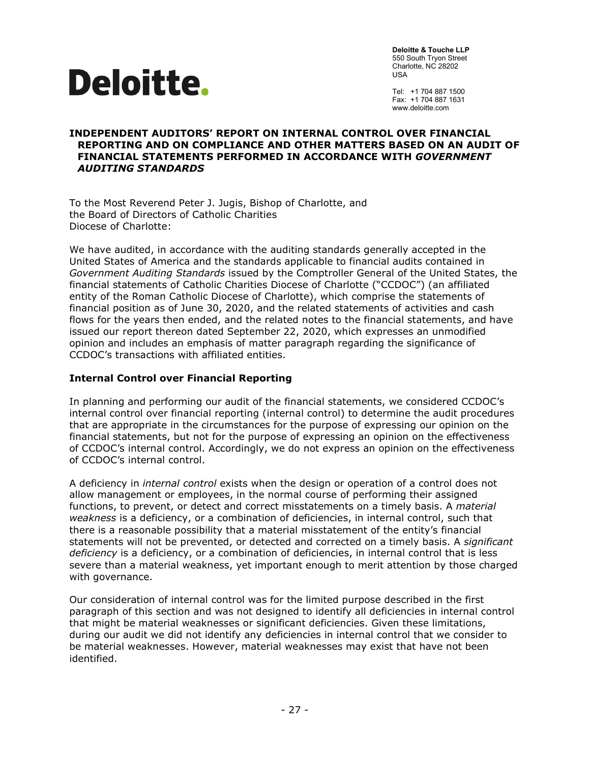# **Deloitte.**

**Deloitte & Touche LLP** 550 South Tryon Street Charlotte, NC 28202 USA

Tel: +1 704 887 1500 Fax: +1 704 887 1631 www.deloitte.com

#### **INDEPENDENT AUDITORS' REPORT ON INTERNAL CONTROL OVER FINANCIAL REPORTING AND ON COMPLIANCE AND OTHER MATTERS BASED ON AN AUDIT OF FINANCIAL STATEMENTS PERFORMED IN ACCORDANCE WITH** *GOVERNMENT AUDITING STANDARDS*

To the Most Reverend Peter J. Jugis, Bishop of Charlotte, and the Board of Directors of Catholic Charities Diocese of Charlotte:

We have audited, in accordance with the auditing standards generally accepted in the United States of America and the standards applicable to financial audits contained in *Government Auditing Standards* issued by the Comptroller General of the United States, the financial statements of Catholic Charities Diocese of Charlotte ("CCDOC") (an affiliated entity of the Roman Catholic Diocese of Charlotte), which comprise the statements of financial position as of June 30, 2020, and the related statements of activities and cash flows for the years then ended, and the related notes to the financial statements, and have issued our report thereon dated September 22, 2020, which expresses an unmodified opinion and includes an emphasis of matter paragraph regarding the significance of CCDOC's transactions with affiliated entities.

#### **Internal Control over Financial Reporting**

In planning and performing our audit of the financial statements, we considered CCDOC's internal control over financial reporting (internal control) to determine the audit procedures that are appropriate in the circumstances for the purpose of expressing our opinion on the financial statements, but not for the purpose of expressing an opinion on the effectiveness of CCDOC's internal control. Accordingly, we do not express an opinion on the effectiveness of CCDOC's internal control.

A deficiency in *internal control* exists when the design or operation of a control does not allow management or employees, in the normal course of performing their assigned functions, to prevent, or detect and correct misstatements on a timely basis. A *material weakness* is a deficiency, or a combination of deficiencies, in internal control, such that there is a reasonable possibility that a material misstatement of the entity's financial statements will not be prevented, or detected and corrected on a timely basis. A *significant deficiency* is a deficiency, or a combination of deficiencies, in internal control that is less severe than a material weakness, yet important enough to merit attention by those charged with governance.

Our consideration of internal control was for the limited purpose described in the first paragraph of this section and was not designed to identify all deficiencies in internal control that might be material weaknesses or significant deficiencies. Given these limitations, during our audit we did not identify any deficiencies in internal control that we consider to be material weaknesses. However, material weaknesses may exist that have not been identified.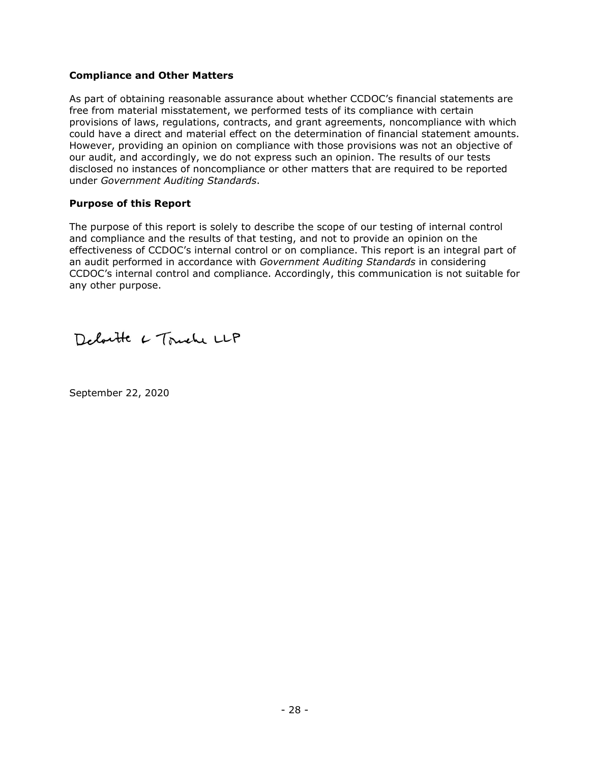#### **Compliance and Other Matters**

As part of obtaining reasonable assurance about whether CCDOC's financial statements are free from material misstatement, we performed tests of its compliance with certain provisions of laws, regulations, contracts, and grant agreements, noncompliance with which could have a direct and material effect on the determination of financial statement amounts. However, providing an opinion on compliance with those provisions was not an objective of our audit, and accordingly, we do not express such an opinion. The results of our tests disclosed no instances of noncompliance or other matters that are required to be reported under *Government Auditing Standards*.

#### **Purpose of this Report**

The purpose of this report is solely to describe the scope of our testing of internal control and compliance and the results of that testing, and not to provide an opinion on the effectiveness of CCDOC's internal control or on compliance. This report is an integral part of an audit performed in accordance with *Government Auditing Standards* in considering CCDOC's internal control and compliance. Accordingly, this communication is not suitable for any other purpose.

Deloitte & Touche LLP

September 22, 2020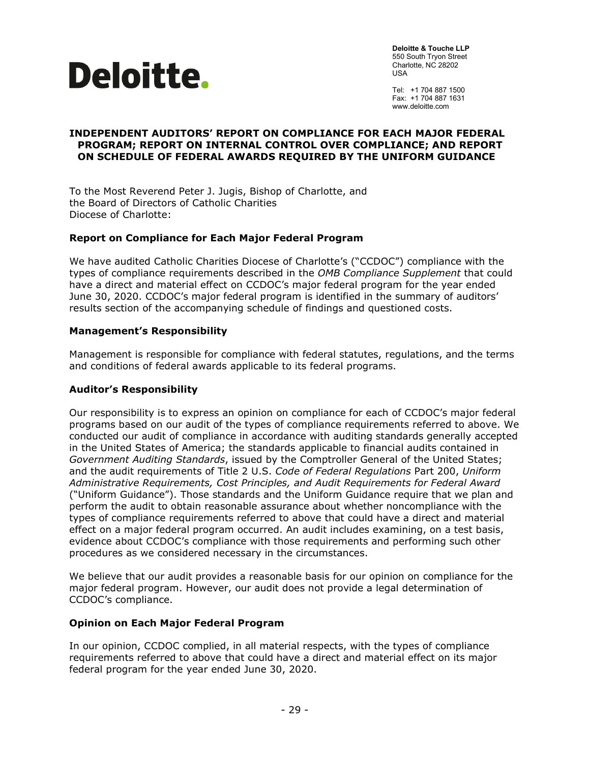

**Deloitte & Touche LLP** 550 South Tryon Street Charlotte, NC 28202 USA

Tel: +1 704 887 1500 Fax: +1 704 887 1631 www.deloitte.com

#### **INDEPENDENT AUDITORS' REPORT ON COMPLIANCE FOR EACH MAJOR FEDERAL PROGRAM; REPORT ON INTERNAL CONTROL OVER COMPLIANCE; AND REPORT ON SCHEDULE OF FEDERAL AWARDS REQUIRED BY THE UNIFORM GUIDANCE**

To the Most Reverend Peter J. Jugis, Bishop of Charlotte, and the Board of Directors of Catholic Charities Diocese of Charlotte:

#### **Report on Compliance for Each Major Federal Program**

We have audited Catholic Charities Diocese of Charlotte's ("CCDOC") compliance with the types of compliance requirements described in the *OMB Compliance Supplement* that could have a direct and material effect on CCDOC's major federal program for the year ended June 30, 2020. CCDOC's major federal program is identified in the summary of auditors' results section of the accompanying schedule of findings and questioned costs.

#### **Management's Responsibility**

Management is responsible for compliance with federal statutes, regulations, and the terms and conditions of federal awards applicable to its federal programs.

#### **Auditor's Responsibility**

Our responsibility is to express an opinion on compliance for each of CCDOC's major federal programs based on our audit of the types of compliance requirements referred to above. We conducted our audit of compliance in accordance with auditing standards generally accepted in the United States of America; the standards applicable to financial audits contained in *Government Auditing Standards*, issued by the Comptroller General of the United States; and the audit requirements of Title 2 U.S. *Code of Federal Regulations* Part 200, *Uniform Administrative Requirements, Cost Principles, and Audit Requirements for Federal Award* ("Uniform Guidance"). Those standards and the Uniform Guidance require that we plan and perform the audit to obtain reasonable assurance about whether noncompliance with the types of compliance requirements referred to above that could have a direct and material effect on a major federal program occurred. An audit includes examining, on a test basis, evidence about CCDOC's compliance with those requirements and performing such other procedures as we considered necessary in the circumstances.

We believe that our audit provides a reasonable basis for our opinion on compliance for the major federal program. However, our audit does not provide a legal determination of CCDOC's compliance.

#### **Opinion on Each Major Federal Program**

In our opinion, CCDOC complied, in all material respects, with the types of compliance requirements referred to above that could have a direct and material effect on its major federal program for the year ended June 30, 2020.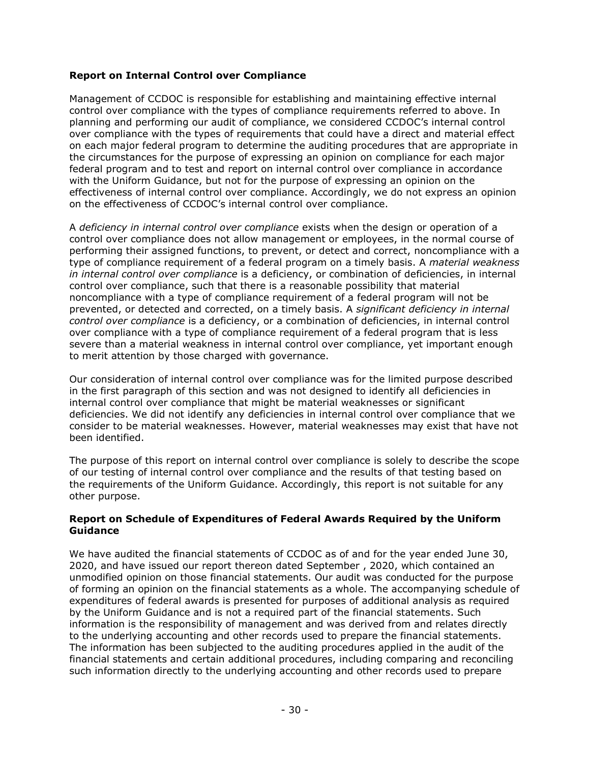#### **Report on Internal Control over Compliance**

Management of CCDOC is responsible for establishing and maintaining effective internal control over compliance with the types of compliance requirements referred to above. In planning and performing our audit of compliance, we considered CCDOC's internal control over compliance with the types of requirements that could have a direct and material effect on each major federal program to determine the auditing procedures that are appropriate in the circumstances for the purpose of expressing an opinion on compliance for each major federal program and to test and report on internal control over compliance in accordance with the Uniform Guidance, but not for the purpose of expressing an opinion on the effectiveness of internal control over compliance. Accordingly, we do not express an opinion on the effectiveness of CCDOC's internal control over compliance.

A *deficiency in internal control over compliance* exists when the design or operation of a control over compliance does not allow management or employees, in the normal course of performing their assigned functions, to prevent, or detect and correct, noncompliance with a type of compliance requirement of a federal program on a timely basis. A *material weakness in internal control over compliance* is a deficiency, or combination of deficiencies, in internal control over compliance, such that there is a reasonable possibility that material noncompliance with a type of compliance requirement of a federal program will not be prevented, or detected and corrected, on a timely basis. A *significant deficiency in internal control over compliance* is a deficiency, or a combination of deficiencies, in internal control over compliance with a type of compliance requirement of a federal program that is less severe than a material weakness in internal control over compliance, yet important enough to merit attention by those charged with governance.

Our consideration of internal control over compliance was for the limited purpose described in the first paragraph of this section and was not designed to identify all deficiencies in internal control over compliance that might be material weaknesses or significant deficiencies. We did not identify any deficiencies in internal control over compliance that we consider to be material weaknesses. However, material weaknesses may exist that have not been identified.

The purpose of this report on internal control over compliance is solely to describe the scope of our testing of internal control over compliance and the results of that testing based on the requirements of the Uniform Guidance. Accordingly, this report is not suitable for any other purpose.

#### **Report on Schedule of Expenditures of Federal Awards Required by the Uniform Guidance**

We have audited the financial statements of CCDOC as of and for the year ended June 30, 2020, and have issued our report thereon dated September , 2020, which contained an unmodified opinion on those financial statements. Our audit was conducted for the purpose of forming an opinion on the financial statements as a whole. The accompanying schedule of expenditures of federal awards is presented for purposes of additional analysis as required by the Uniform Guidance and is not a required part of the financial statements. Such information is the responsibility of management and was derived from and relates directly to the underlying accounting and other records used to prepare the financial statements. The information has been subjected to the auditing procedures applied in the audit of the financial statements and certain additional procedures, including comparing and reconciling such information directly to the underlying accounting and other records used to prepare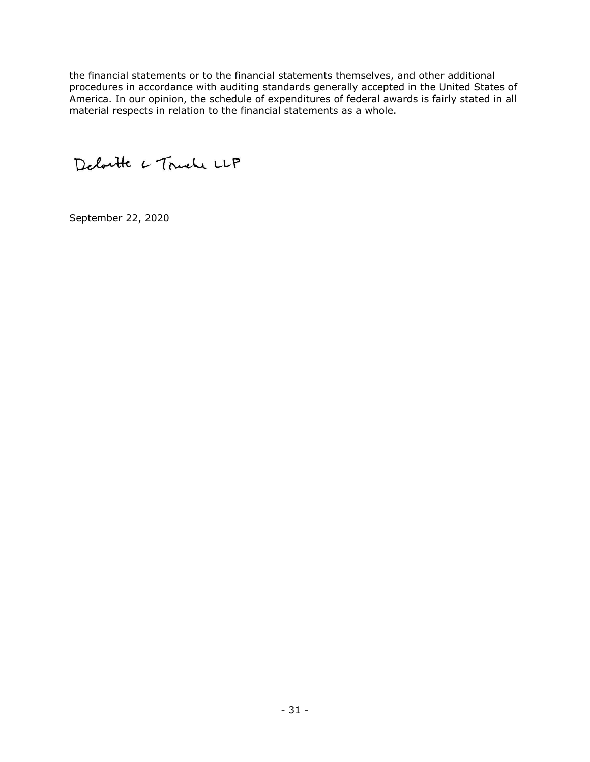the financial statements or to the financial statements themselves, and other additional procedures in accordance with auditing standards generally accepted in the United States of America. In our opinion, the schedule of expenditures of federal awards is fairly stated in all material respects in relation to the financial statements as a whole.

Deloite a Touche LLP

September 22, 2020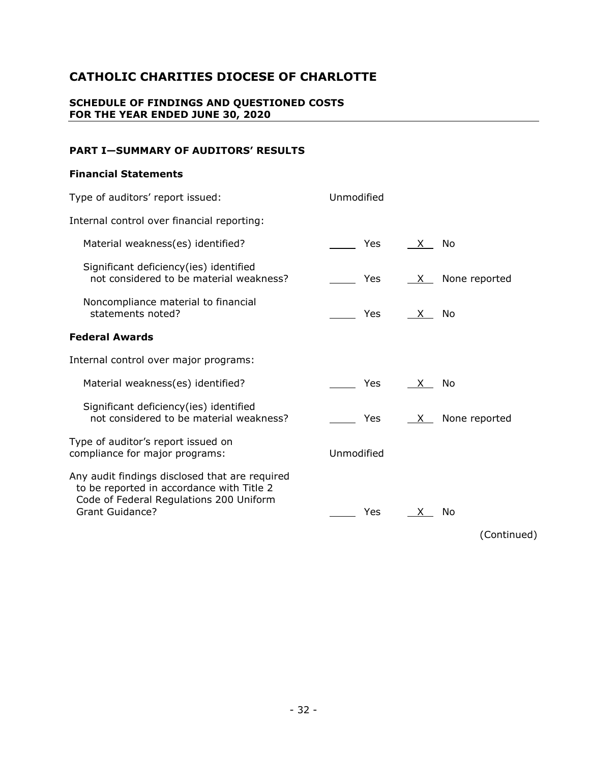#### **SCHEDULE OF FINDINGS AND QUESTIONED COSTS FOR THE YEAR ENDED JUNE 30, 2020**

#### **PART I—SUMMARY OF AUDITORS' RESULTS**

#### **Financial Statements**

| Type of auditors' report issued:                                                                                                                                 | Unmodified |                    |
|------------------------------------------------------------------------------------------------------------------------------------------------------------------|------------|--------------------|
| Internal control over financial reporting:                                                                                                                       |            |                    |
| Material weakness(es) identified?                                                                                                                                | Yes        | X No               |
| Significant deficiency(ies) identified<br>not considered to be material weakness?                                                                                | Yes        | $X$ None reported  |
| Noncompliance material to financial<br>statements noted?                                                                                                         | Yes        | X No               |
| <b>Federal Awards</b>                                                                                                                                            |            |                    |
| Internal control over major programs:                                                                                                                            |            |                    |
| Material weakness(es) identified?                                                                                                                                | Yes        | X No               |
| Significant deficiency(ies) identified<br>not considered to be material weakness?                                                                                | Yes        | $X$ None reported  |
| Type of auditor's report issued on<br>compliance for major programs:                                                                                             | Unmodified |                    |
| Any audit findings disclosed that are required<br>to be reported in accordance with Title 2<br>Code of Federal Regulations 200 Uniform<br><b>Grant Guidance?</b> | Yes        | $\mathsf{X}$<br>No |
|                                                                                                                                                                  |            | (Continued)        |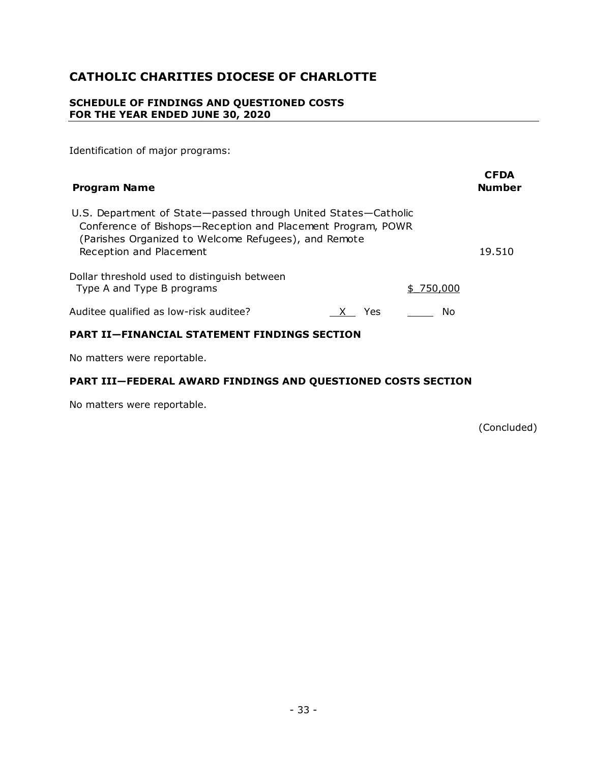#### **SCHEDULE OF FINDINGS AND QUESTIONED COSTS FOR THE YEAR ENDED JUNE 30, 2020**

Identification of major programs:

| <b>Program Name</b>                                                                                                                                                                                              |     |         | <b>CFDA</b><br>Number |
|------------------------------------------------------------------------------------------------------------------------------------------------------------------------------------------------------------------|-----|---------|-----------------------|
| U.S. Department of State-passed through United States-Catholic<br>Conference of Bishops-Reception and Placement Program, POWR<br>(Parishes Organized to Welcome Refugees), and Remote<br>Reception and Placement |     |         | 19.510                |
| Dollar threshold used to distinguish between<br>Type A and Type B programs                                                                                                                                       |     | 750,000 |                       |
| Auditee qualified as low-risk auditee?                                                                                                                                                                           | Yes | No      |                       |

#### **PART II—FINANCIAL STATEMENT FINDINGS SECTION**

No matters were reportable.

#### **PART III—FEDERAL AWARD FINDINGS AND QUESTIONED COSTS SECTION**

No matters were reportable.

(Concluded)